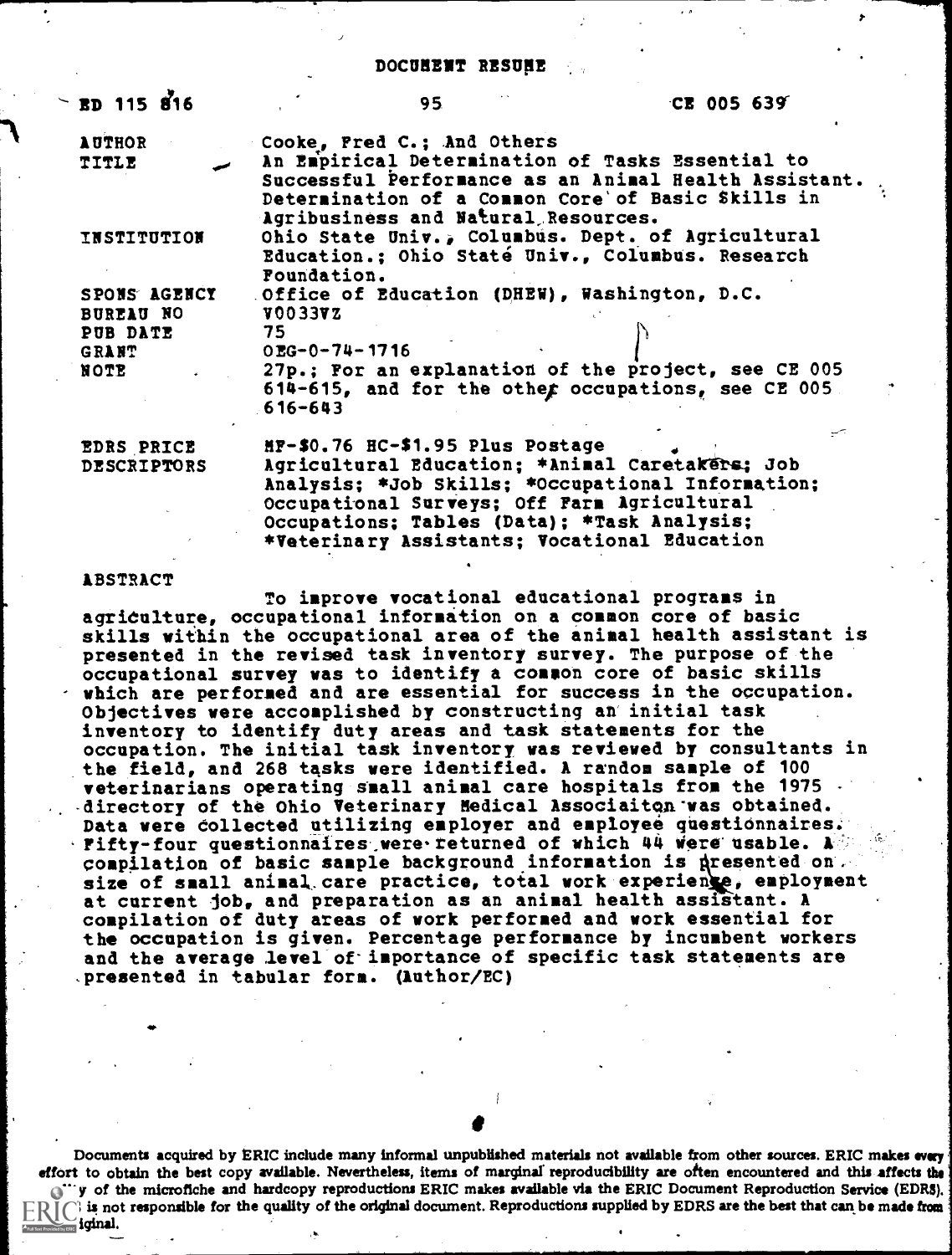#### DOCUMENT RESUME

./

| ED 115 816                              | 95                                                                                                                                                                                                     | <b>CE 005 639</b> |
|-----------------------------------------|--------------------------------------------------------------------------------------------------------------------------------------------------------------------------------------------------------|-------------------|
| <b>AUTHOR</b>                           | Cooke, Fred C.; And Others                                                                                                                                                                             |                   |
| <b>TITLE</b>                            | An Empirical Determination of Tasks Essential to<br>Successful Performance as an Animal Health Assistant.<br>Determination of a Common Core' of Basic Skills in<br>Agribusiness and Natural Resources. |                   |
| <b>INSTITUTION</b>                      | Ohio State Univ., Columbus. Dept. of Agricultural<br>Education.; Ohio Staté Univ., Columbus. Research<br>Foundation.                                                                                   |                   |
| SPONS AGENCY<br>BUREAU NO               | Office of Education (DHEW), Washington, D.C.<br><b>V0033VZ</b>                                                                                                                                         |                   |
| PUB DATE<br><b>GRANT</b>                | 75<br>OEG-0-74-1716                                                                                                                                                                                    |                   |
| NOTE                                    | 27p.; For an explanation of the project, see CE 005<br>614-615, and for the other occupations, see CE 005.<br>$616 - 643$                                                                              |                   |
| <b>EDRS PRICE</b><br><b>DESCRIPTORS</b> | HF-\$0.76 HC-\$1.95 Plus Postage<br>Agricultural Education; *Animal Caretakers; Job                                                                                                                    | بسمسه             |

Analysis; \*Job Skills; \*Occupational Information; Occupational Surveys; Off Fars Agricultural Occupations; Tables (Data); \*Task Analysis; \*Veterinary Assistants; Vocational Education

#### ABSTRACT

To improve vocational educational programs in agriculture, occupational information on a common core of basic skills within the occupational area of the animal health assistant is presented in the revised task inventory survey. The purpose of the occupational survey was to identify a common core of basic skills which are performed and are essential for success in the occupation. Objectives were accomplished by constructing an initial task inventory to identify duty areas and task statements for the occupation. The initial task inventory was reviewed by consultants in the field, and 268 tasks were identified. A random sample of 100 veterinarians operating small animal care hospitals from the 1975 directory of the Ohio Veterinary Medical Associaiton was obtained. Data were collected utilizing employer and employee questionnaires. Fifty-four questionnaires, were returned of which 44 Were usable. A size of small unimary once precesse, cocal work experience, capteriance compilation of basic sample background information is dresented on. size of small animal care practice, total work experience, employment compilation of duty areas of work performed and work essential for the occupation is given. Percentage performance by incumbent workers and the average level of importance of specific task statements are presented in tabular form. (Author/EC)

Documents acquired by ERIC include many informal unpublished materials not available from other sources. ERIC makes every effort to obtain the best copy available. Nevertheless, items of marginal reproducibility are often encountered and this affects the  $\zeta^{u \prime u}$  of the microfiche and hardcopy reproductions ERIC makes available via the ERIC Document Reproduction Service (EDRS).  $\mathbb{E}$  is not responsible for the quality of the original document. Reproductions supplied by EDRS are the best that can be made from iqinal.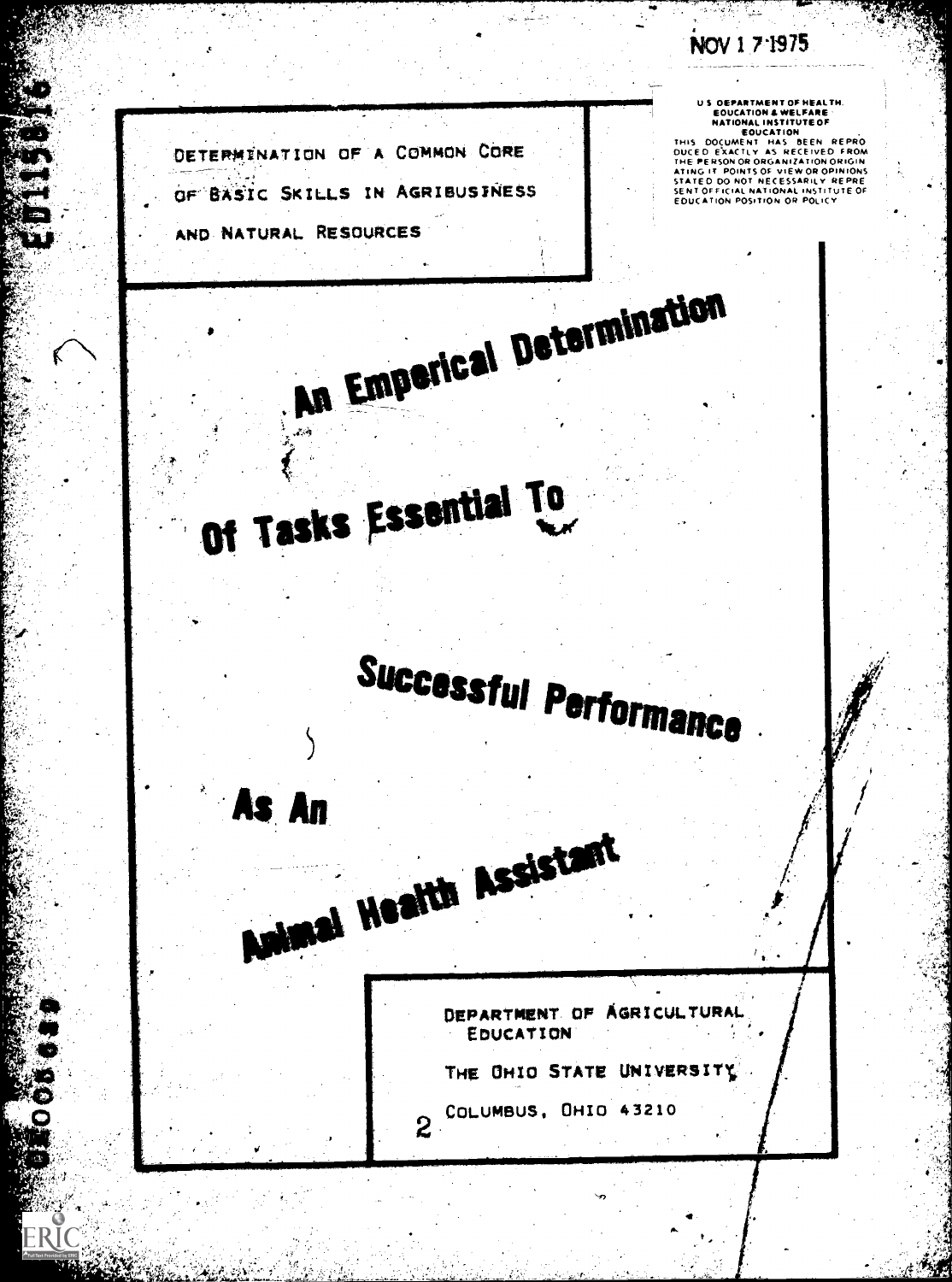NOV 1 7 1975

TRATT.

US DEPARTMENT OF HEALTH.<br>
EQUCATION & WELFARE<br>
NATIONAL INSTITUTE OF<br>
THIS DOCUMENT HAS BEEN REPRO<br>
DUCED EXACTLY AS RECEIVED FROM<br>
THE PERSON OR ORANIZATION ORIGIN<br>
ATING IT POINTS OF VIEW OR OPINIONS<br>
SENTED DO NOT NECES

DETERMINATION OF A COMMON CORE OF BASIC SKILLS IN AGRIBUSTNESS

Of Tasks Essential To

Animal Health Assistant

An Emperical Determination

AND NATURAL RESOURCES

As An

ERIO

DEPARTMENT OF AGRICULTURAL EDUCATION

THE UHIO STATE UNIVERSITY

2 COLUMBUS, OHIO 43210

Successful Performance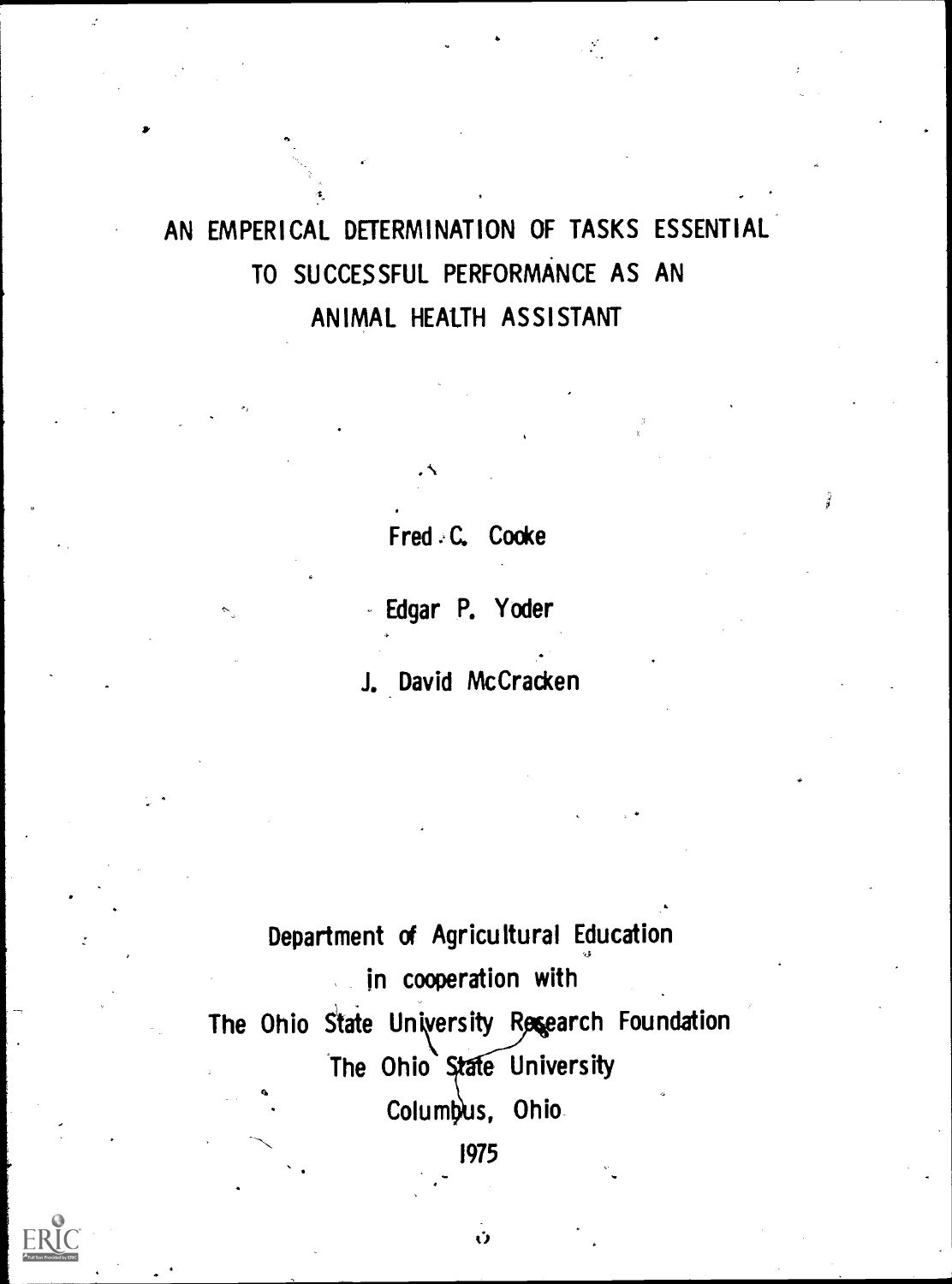# AN EMPERICAL DETERMINATION OF TASKS ESSENTIAL TO SUCCESSFUL PERFORMANCE AS AN ANIMAL HEALTH ASSISTANT

Fred C. Cooke

Edgar P. Yoder

J. David McCracken

Department of Agricultural Education in cooperation with The Ohio State University Research Foundation The Ohio State University Columbus, Ohio 1975



Ů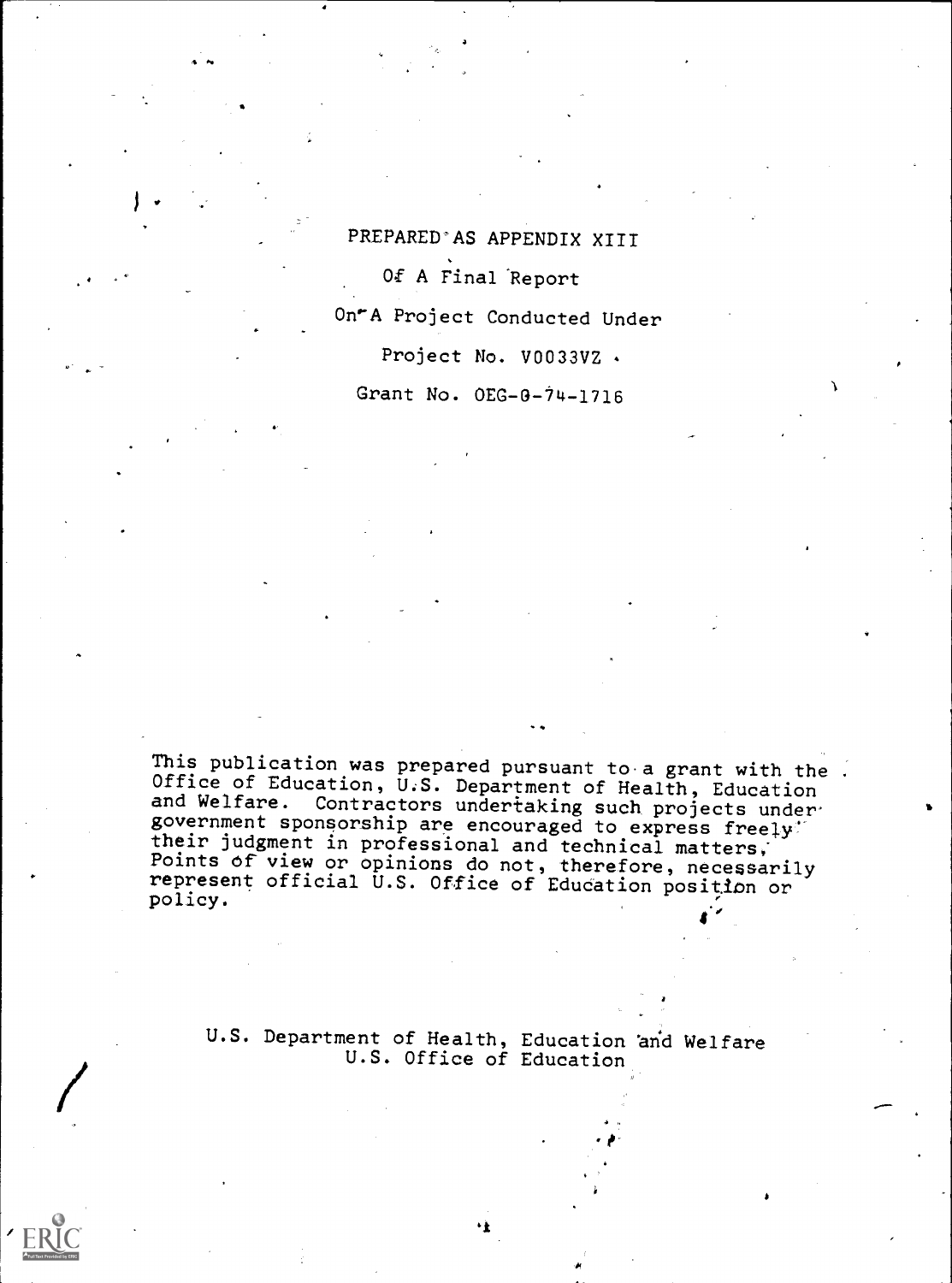PREPARED'AS APPENDIX XIII Of A Final 'Report On'A Project Conducted Under Project No. V0033VZ .

Grant No. OEG-0-14-1716

This publication was prepared pursuant to a grant with the . Office of Education, U.S. Department of Health, Education and Welfare. Contractors undertaking such projects under government sponsorship are encouraged to express freely' their judgment in professional and technical matters; Points of view or opinions do not, therefore, necessarily represent official U.S. Office of Education position or policy.

U.S. Department of Health, Education and Welfare U.S. Office of Education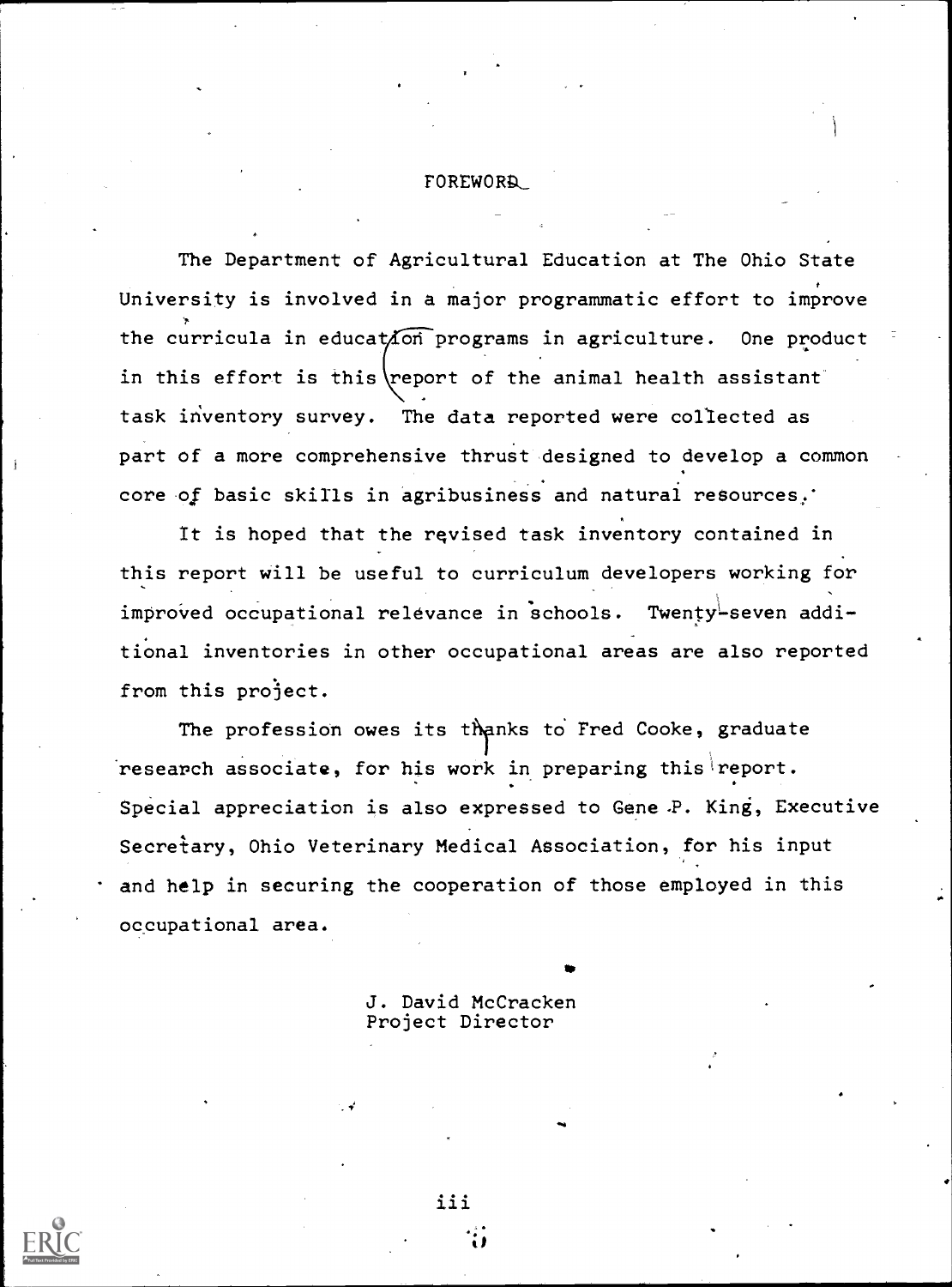#### FOREWORD-

The Department of Agricultural Education at The Ohio State University is involved in a major programmatic effort to improve the curricula in education programs in agriculture. One product in this effort is this report of the animal health assistant task inventory survey. The data reported were collected as part of a more comprehensive thrust designed to develop a common core of basic skills in agribusiness and natural resources.'

It is hoped that the revised task inventory contained in this report will be useful to curriculum developers working for improved occupational relevance in schools. Twenty-seven additional inventories in other occupational areas are also reported from this project.

The profession owes its thanks to Fred Cooke, graduate research associate, for his work in preparing this report. Special appreciation is also expressed to Gene-P. King, Executive Secretary, Ohio Veterinary Medical Association, for his input and help in securing the cooperation of those employed in this occupational area.

e

J. David McCracken Project Director

iii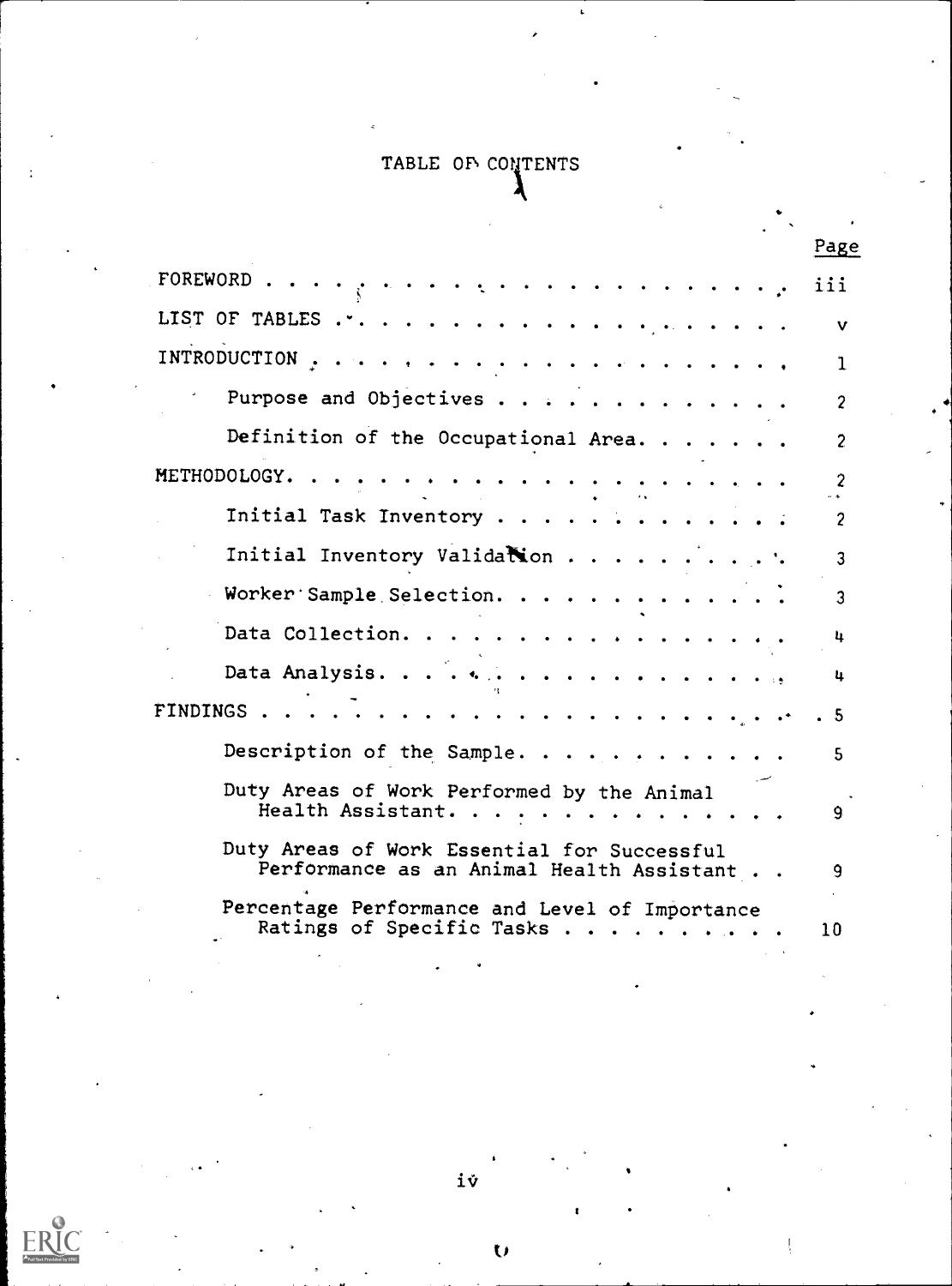## TABLE OF CONTENTS

|                                                                                          | Page           |
|------------------------------------------------------------------------------------------|----------------|
| FOREWORD<br>لوالد والمناولة والمناولة والمناورة والمحارب                                 | iii            |
|                                                                                          | v              |
|                                                                                          | 1              |
| Purpose and Objectives                                                                   | $\overline{c}$ |
| Definition of the Occupational Area.                                                     | $\overline{2}$ |
| METHODOLOGY. .                                                                           | $\overline{c}$ |
| Initial Task Inventory                                                                   | $\overline{c}$ |
| Initial Inventory Validation                                                             | 3              |
| Worker Sample Selection.                                                                 | $\mathbf{3}$   |
| Data Collection.                                                                         | 4              |
|                                                                                          | 4              |
| FINDINGS<br>a característica a característica de la partida                              | . 5            |
| Description of the Sample.                                                               | 5.             |
| Duty Areas of Work Performed by the Animal<br>Health Assistant.                          | 9.             |
| Duty Areas of Work Essential for Successful<br>Performance as an Animal Health Assistant | 9              |
| Percentage Performance and Level of Importance<br>Ratings of Specific Tasks              | 10             |

iv

 $\overline{O}$ 

E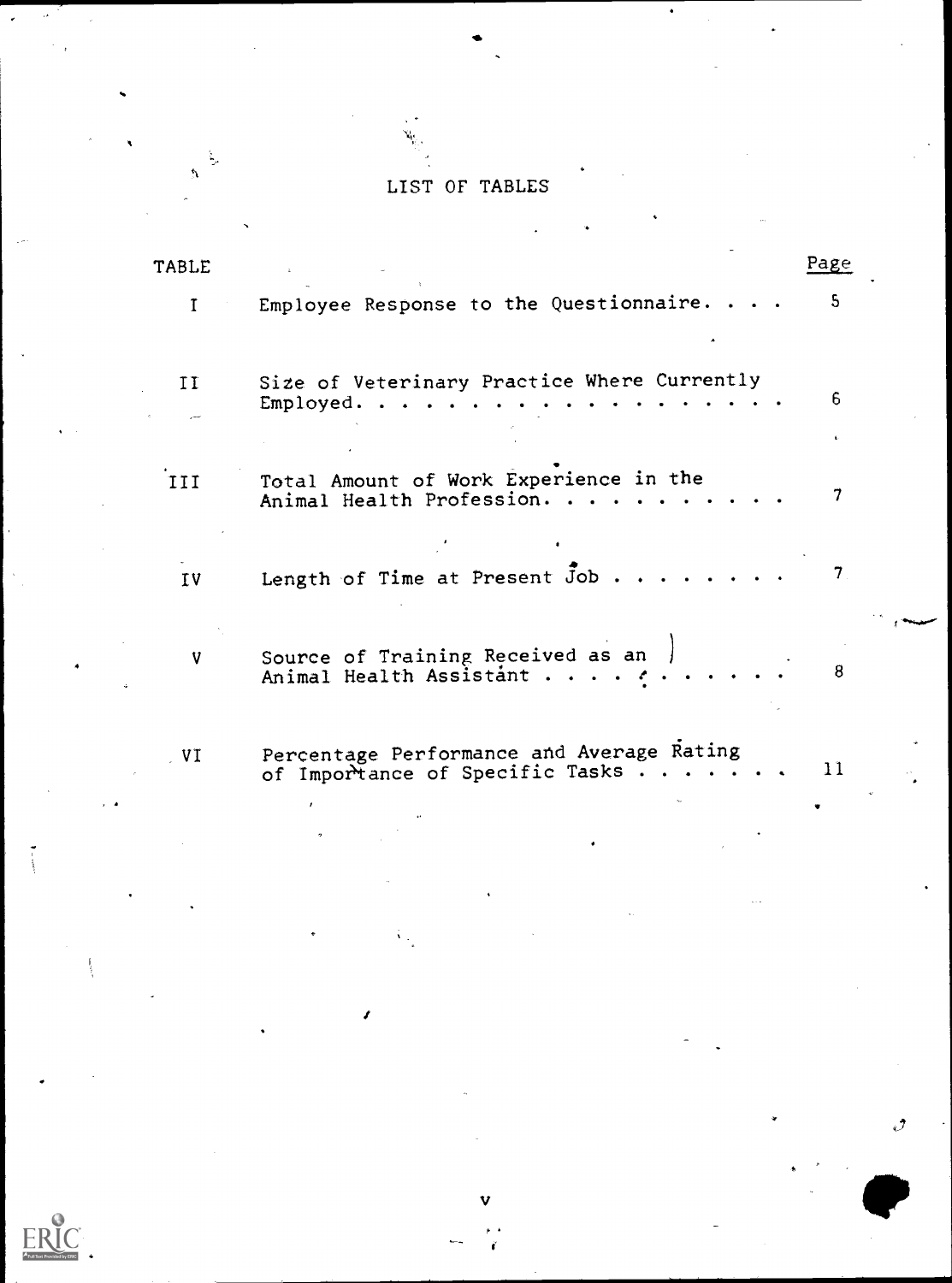## LIST OF TABLES

| <b>TABLE</b> |                                                                              | Page                             |
|--------------|------------------------------------------------------------------------------|----------------------------------|
| $\mathbf{I}$ | Employee Response to the Questionnaire. .                                    | 5                                |
| II           | Size of Veterinary Practice Where Currently<br>Employed.                     | 6                                |
| III          | Total Amount of Work Experience in the<br>Animal Health Profession.          | 7                                |
| IV           | Length of Time at Present Job.                                               | $7_{\scriptscriptstyle{\wedge}}$ |
| V            | Source of Training Received as an<br>Animal Health Assistant                 | 8                                |
| V1           | Percentage Performance and Average Rating<br>of Importance of Specific Tasks | 11                               |
|              |                                                                              |                                  |
|              |                                                                              |                                  |

v

ERIC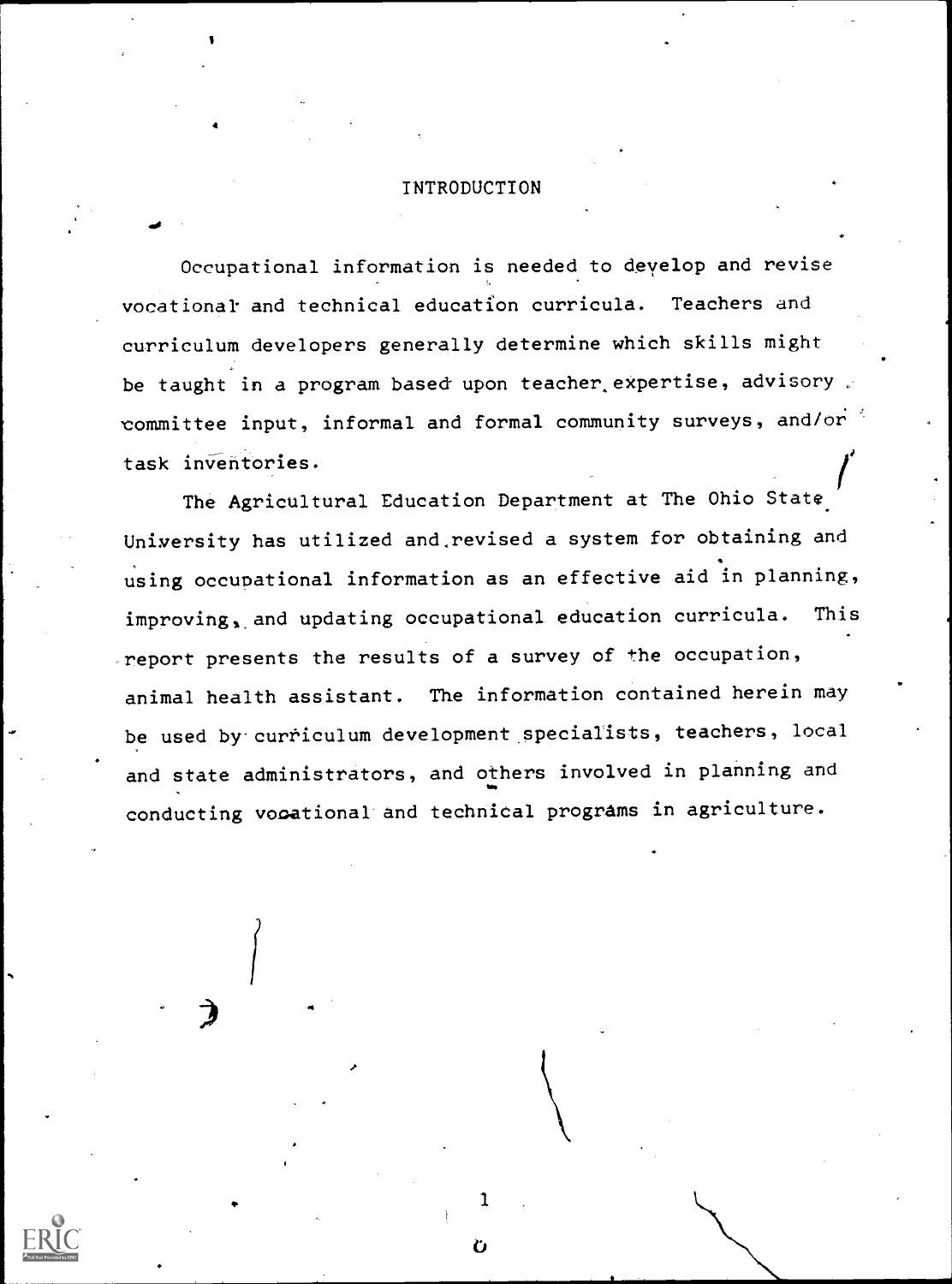#### INTRODUCTION

 $\mathcal{L}$  . Only the set of  $\mathcal{L}$ 

 $\mathbf{I}$ 

Occupational information is needed to deyelop and revise vocational and technical education curricula. Teachers and curriculum developers generally determine which skills might be taught in a program based upon teacher expertise, advisory committee input, informal and formal community surveys, and/or task inventories.

f<sub>il</sub> The Agricultural Education Department at The Ohio State University has utilized and revised a system for obtaining and using occupational information as an effective aid in planning,  $improving$ , and updating occupational education curricula. This report presents the results of a survey of the occupation, animal health assistant. The information contained herein may be used by curriculum development specialists, teachers, local and state administrators, and others involved in planning and conducting vocational and technical programs in agriculture.

1

Ù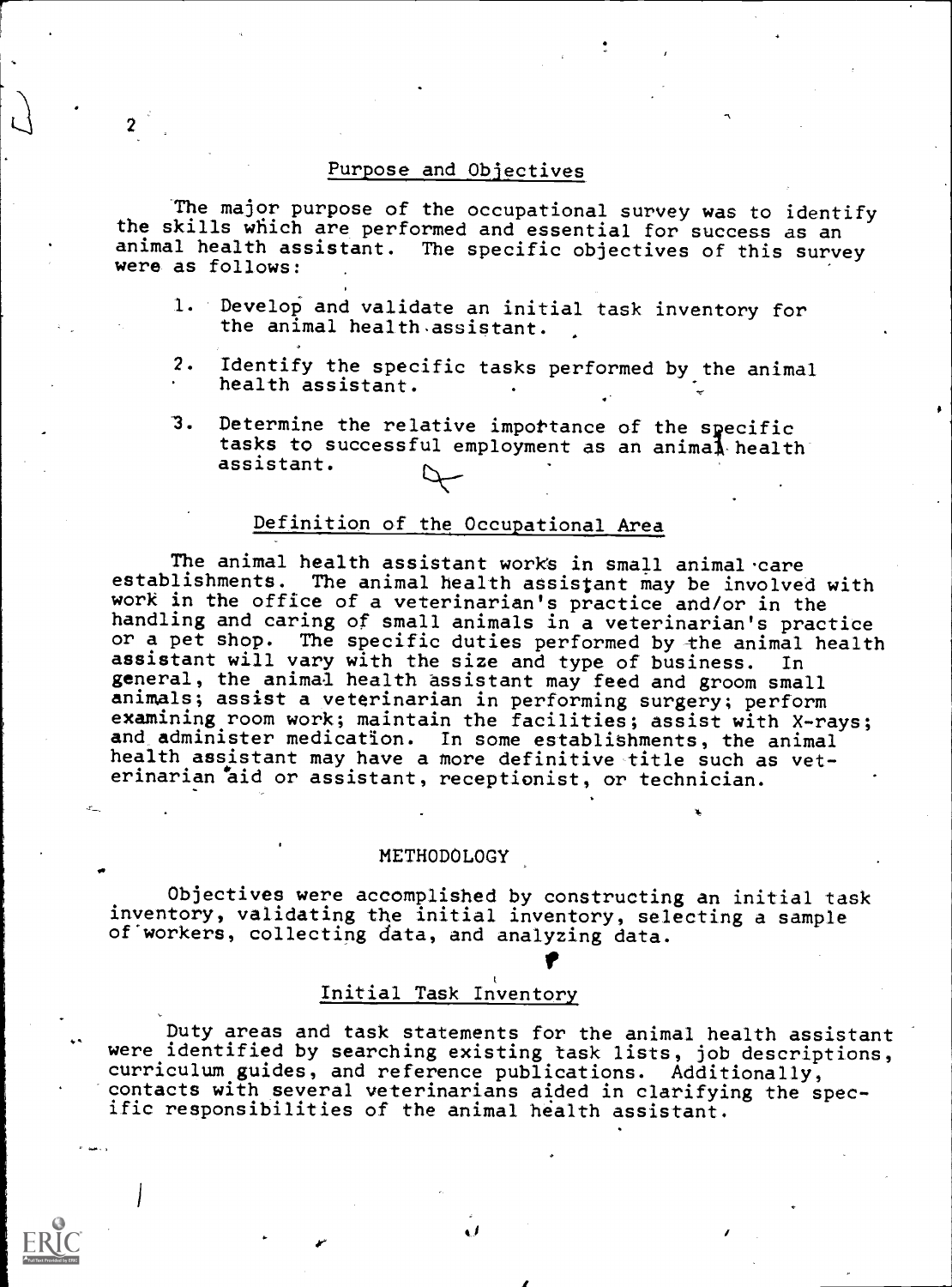#### Purpose and Objectives

The major purpose of the occupational survey was to identify the skills which are performed and essential for success as an animal health assistant. The specific objectives of this survey were as follows:

- 1. Develop and validate an initial task inventory for the animal health.assistant.
- 2. Identify the specific tasks performed by the animal health assistant.
- 3. Determine the relative importance of the specific tasks to successful employment as an animal-health assistant.

### Definition of the Occupational Area

The animal health assistant works in small animal care establishments. The animal health assistant may be involved with work in the office of a veterinarian's practice and/or in the handling and caring of small animals in a veterinarian's practice or a pet shop. The specific duties performed by the animal health assistant will vary with the size and type of business. In general, the animal health assistant may feed and groom small animals; assist a veterinarian in performing surgery; perform examining room work; maintain the facilities; assist with X-rays; and administer medication. In some establishments, the animal health assistant may have a more definitive title such as veterinarian aid or assistant, receptionist, or technician.

#### METHODOLOGY

Objectives were accomplished by constructing an initial task inventory, validating the initial inventory, selecting a sample of workers, collecting data, and analyzing data.

1k.

#### Initial Task Inventory

.6-

Duty areas and task statements for the animal health assistant were identified by searching existing task lists, job descriptions, curriculum guides, and reference publications. Additionally, contacts with several veterinarians aided in clarifying the specific responsibilities of the animal health assistant.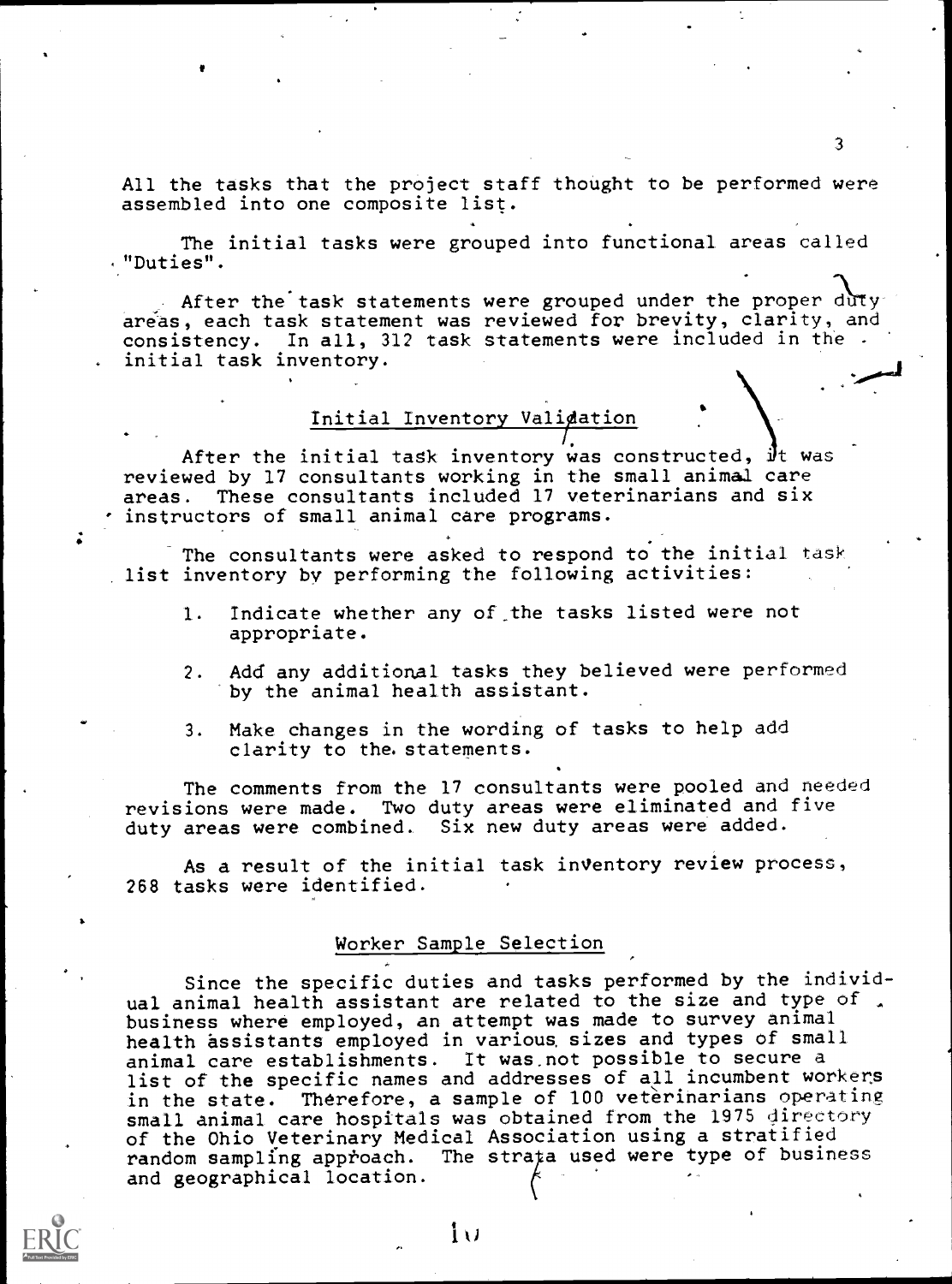All the tasks that the project staff thought to be performed were assembled into one composite list.

 $3 \qquad \qquad$ 

The initial tasks were grouped into functional areas called "Duties ".

. After the task statements were grouped under the proper duty areas, each task statement was reviewed for brevity, clarity, and consistency. In all, 312 task statements were included in the initial task inventory.

### Initial Inventory Validation

After the initial task inventory was constructed, it was reviewed by 17 consultants working in the small animal care areas. These consultants included 17 veterinarians and six instructors of small animal care programs.

The consultants were asked to respond to the initial task list inventory by performing the following activities:

- 1. Indicate whether any of\_the tasks listed were not appropriate.
- 2. Add any additional tasks they believed were performed by the animal health assistant.
- . Make changes in the wording of tasks to help add clarity to the. statements.

The comments from the 17 consultants were pooled and needed revisions were made. Two duty areas were eliminated and five duty areas were combined. Six new duty areas were added.

As a result of the initial task inventory review process, 268 tasks were identified.

#### Worker Sample Selection

Since the specific duties and tasks performed by the individual animal health assistant are related to the size and type of. business where employed, an attempt was made to survey animal health assistants employed in various, sizes and types of small animal care establishments. It was.not possible to secure a list of the specific names and addresses of all incumbent workers in the state. Therefore, a sample of 100 veterinarians operating small animal care hospitals was obtained from the 1975 directory of the Ohio Veterinary Medical Association using a stratified random sampling approach. The strata used were type of business and geographical location.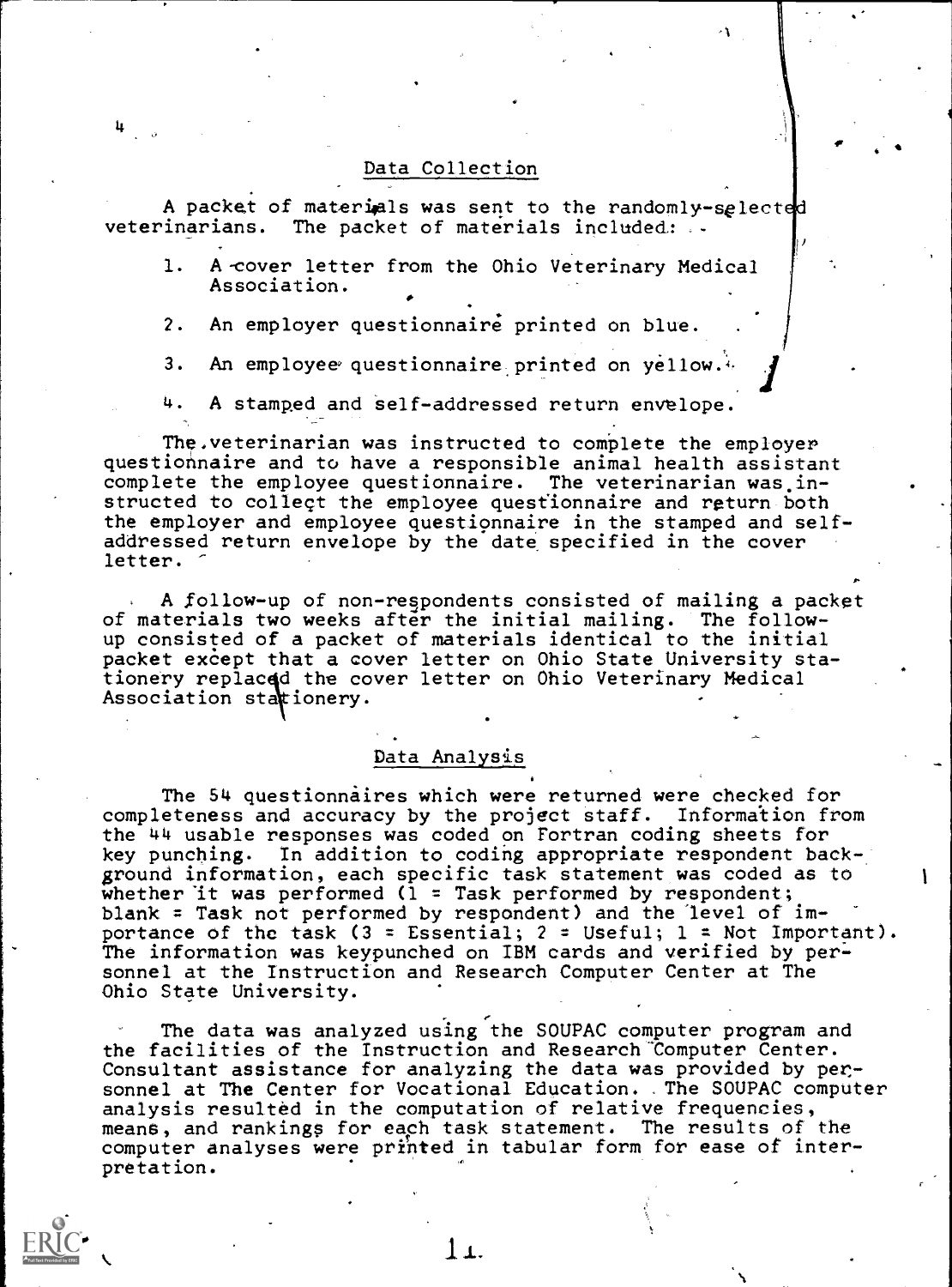#### Data Collection

A packet of materials was sent to the randomly-selected<br>veterinarians. The packet of materials included: The packet of materials included:  $\ldots$ 

- 1. A-cover letter from the Ohio Veterinary Medical Association.
- 2. An employer questionnaire printed on blue.
- 3. An employee questionnaire printed on yellow. $4$ .
- 4. A stamped and self-addressed return envelope.

The,veterinarian was instructed to complete the employer questionnaire and to have a responsible animal health assistant complete the employee questionnaire. The veterinarian was.instructed to collect the employee questionnaire and return both the employer and employee questionnaire in the stamped and selfaddressed return envelope by the date specified in the cover letter.

A follow-up of non-respondents consisted of mailing a packet of materials two weeks after the initial mailing. The followup consisted of a packet of materials identical to the initial packet except that a cover letter on Ohio State University stationery replacqd the cover letter on Ohio Veterinary Medical Andrews Association stationery.

#### Data Analysis

The 54 questionnaires which were returned were checked for completeness and accuracy by the project  $\texttt{staff.}$  Information from  $\hspace{0.2cm} \hspace{0.2cm} \hspace{0.2cm} \hspace{0.2cm}$ the 44 usable responses was coded on Fortran coding sheets for key punching. In addition to coding appropriate respondent background information, each specific task statement was coded as to whether it was performed ( $1$  = Task performed by respondent; blank = Task not performed by respondent) and the level of  $im$ portance of the task  $(3 = E$ ssential;  $2 = U$ seful;  $1 = Not Important$ ). The information was keypunched on IBM cards and verified by personnel at the Instruction and Research Computer Center at The Ohio State University.

The data was analyzed using the SOUPAC computer program and the facilities of the Instruction and Research 'Computer Center. Consultant assistance for analyzing the data was provided by personnel at The Center for Vocational. Education. The SOUPAC computer analysis resulted in the computation of relative frequencies, means, and rankings for each task statement. The results of the computer analyses were printed in tabular form for ease of interpretation.



L.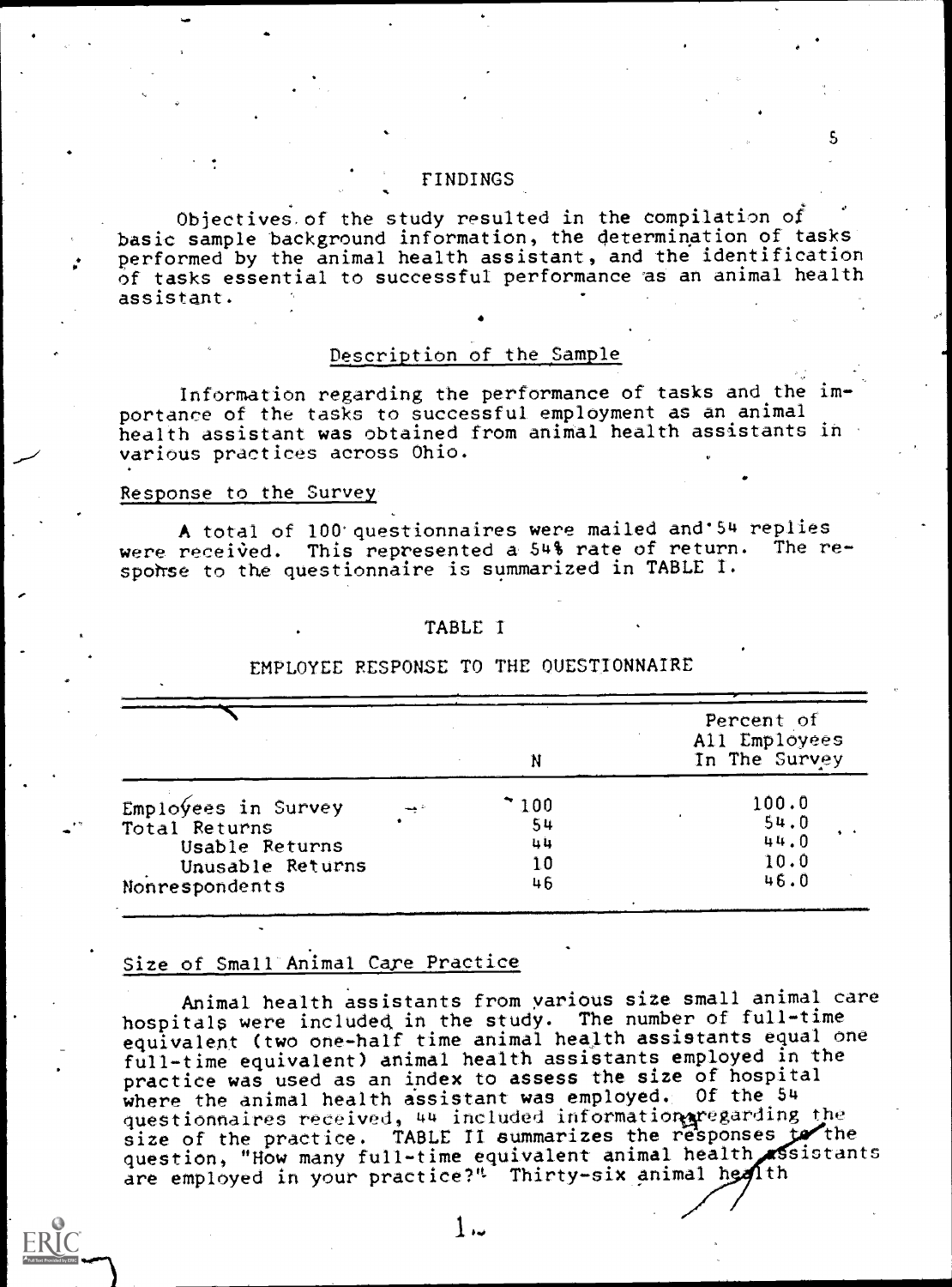#### FINDINGS

Objectives of the study resulted in the compilation of basic sample background information, the determination of tasks performed by the animal health assistant, and the identification of tasks essential to successful performance as an animal health assistant.

5

#### Description of the Sample

Information regarding the performance of tasks and the importance of the tasks to successful employment as an animal health assistant was obtained from animal health assistants in various practices across Ohio.

#### Response to the Survey

A total of 100 questionnaires were mailed and 54 replies<br>received. This represented a 54% rate of return. The rewere received. This represented a  $54\frac{1}{3}$  rate of return. spohse to the questionnaire is summarized in TABLE I.

#### TABLE I

|                      | N     | Percent of<br>All Employees<br>In The Survey |
|----------------------|-------|----------------------------------------------|
| $EmploYes$ in Survey | * 100 | 100.0                                        |
| Total Returns        | 54    | 54.0                                         |
| Usable Returns       | 44    | 44.0                                         |
| Unusable Returns     | 10    | 10.0                                         |
| Nonrespondents       | 46    | 46.0                                         |

#### EMPLOYEE RESPONSE TO THE QUESTIONNAIRE

#### Size of Small Animal Care Practice

Animal health assistants from various size small animal care hospitals were included, in the study. The number of full-time equivalent (two one-half time animal health assistants equal one full-time equivalent) animal health assistants employed in the practice was used as an index to assess the size of hospital where the animal health assistant was employed. Of the 54 questionnaires received, 44 included information aregarding the size of the practice. TABLE II summarizes the responses  $f$  the question, "How many full-time equivalent animal health sistants are employed in your practice?" Thirty-six animal health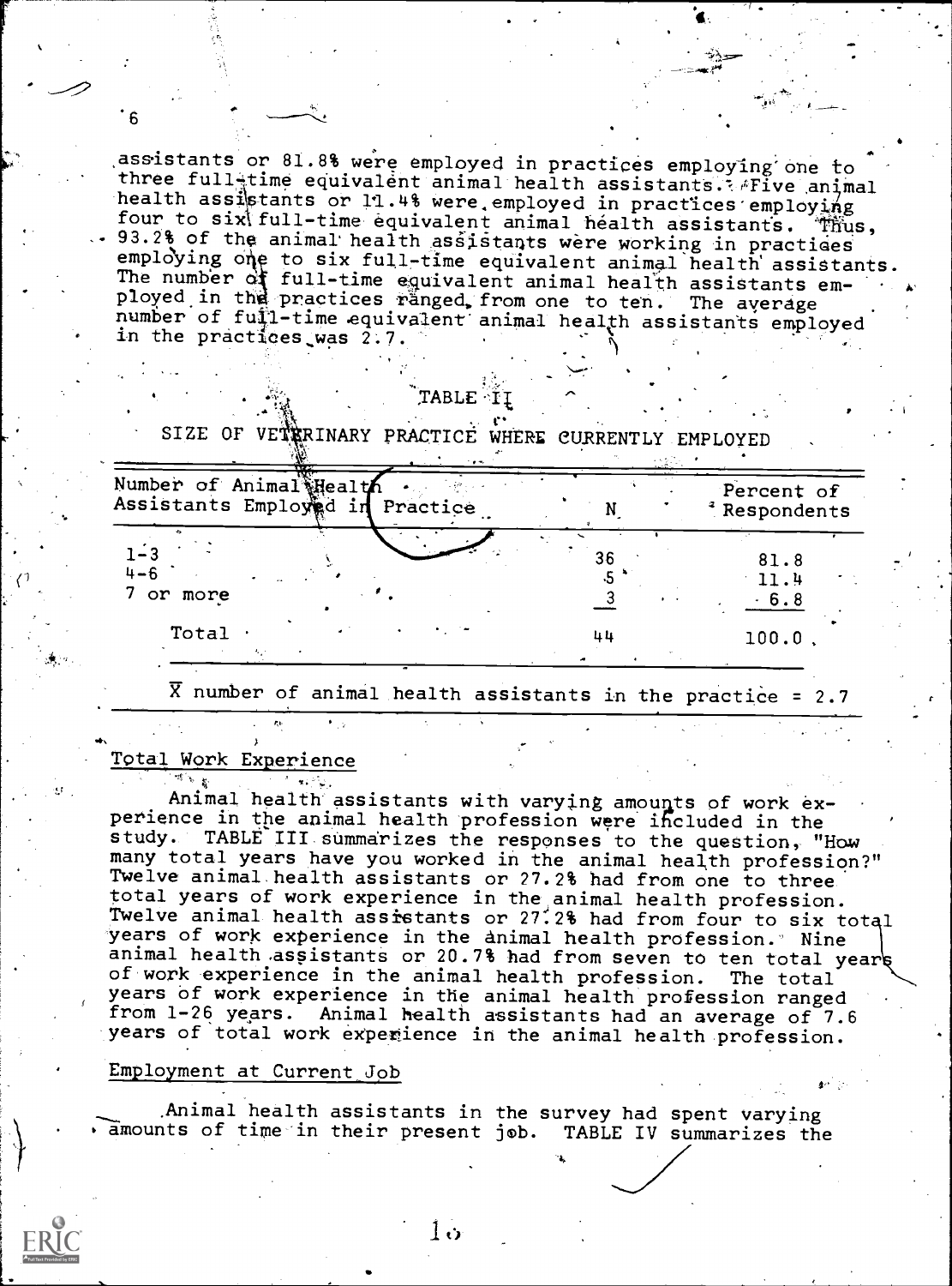. assistants or 81.8% were employed in practices employing one to three full-time equivalent animal health assistants. Five animal health assistants or 11.4% were employed in practices employing<br>four to six full-time equivalent animal health assistants. Thus, 93.2% of the animal health assistants were working in practices The number of full-time equivalent animal health assistants em-<br>ployed in the practices ranged, from one to ten. The average employing one to six full-time equivalent animal health assistants.<br>The number of full-time equivalent animal health assistants emnumber of fuil-time equivalent animal health assistants employed in the practices was 2.7. )

al\*

## $\mathtt{TABLE}\cdot\mathtt{II}$

SIZE OF VETRRINARY PRACTICE WHERE CURRENTLY EMPLOYED

in an

| Number of Animal Health<br>Assistants Employed in<br>Practice |                       | Percent of<br><sup>2</sup> Respondents |  |
|---------------------------------------------------------------|-----------------------|----------------------------------------|--|
| $1 - 3$<br>$4 - 6$<br>7 or more                               | 36<br>$\cdot$ $\cdot$ | 81.8<br>11.4<br>$-6.8$                 |  |
| Total                                                         | 44                    | $100.0$ ,                              |  |

 $\overline{X}$  number of animal health assistants in the practice = 2.7

## Total Work Experience

6

Animal health assistants with varying amounts of work experience in the animal health profession were included in the study. TABLE III summarizes the responses to the question, "How many total years have you worked in the animal health profession?" Twelve animal health assistants or 27.2% had from one to three total years of work experience in the animal health profession. Twelve animal health assistants or 27:2% had from four to six total years of work experience in the animal health profession." Nine animal health assistants or 20.7% had from seven to ten total year of work experience in the animal health profession. The total years of work experience in the animal health profession ranged from 1-26 years. Animal health assistants had an average of 7.6 years of total work experience in the animal health profession.

#### Employment at Current, Job

Animal health assistants in the survey had spent varying amounts of time-in their present job. TABLE IV summarizes the

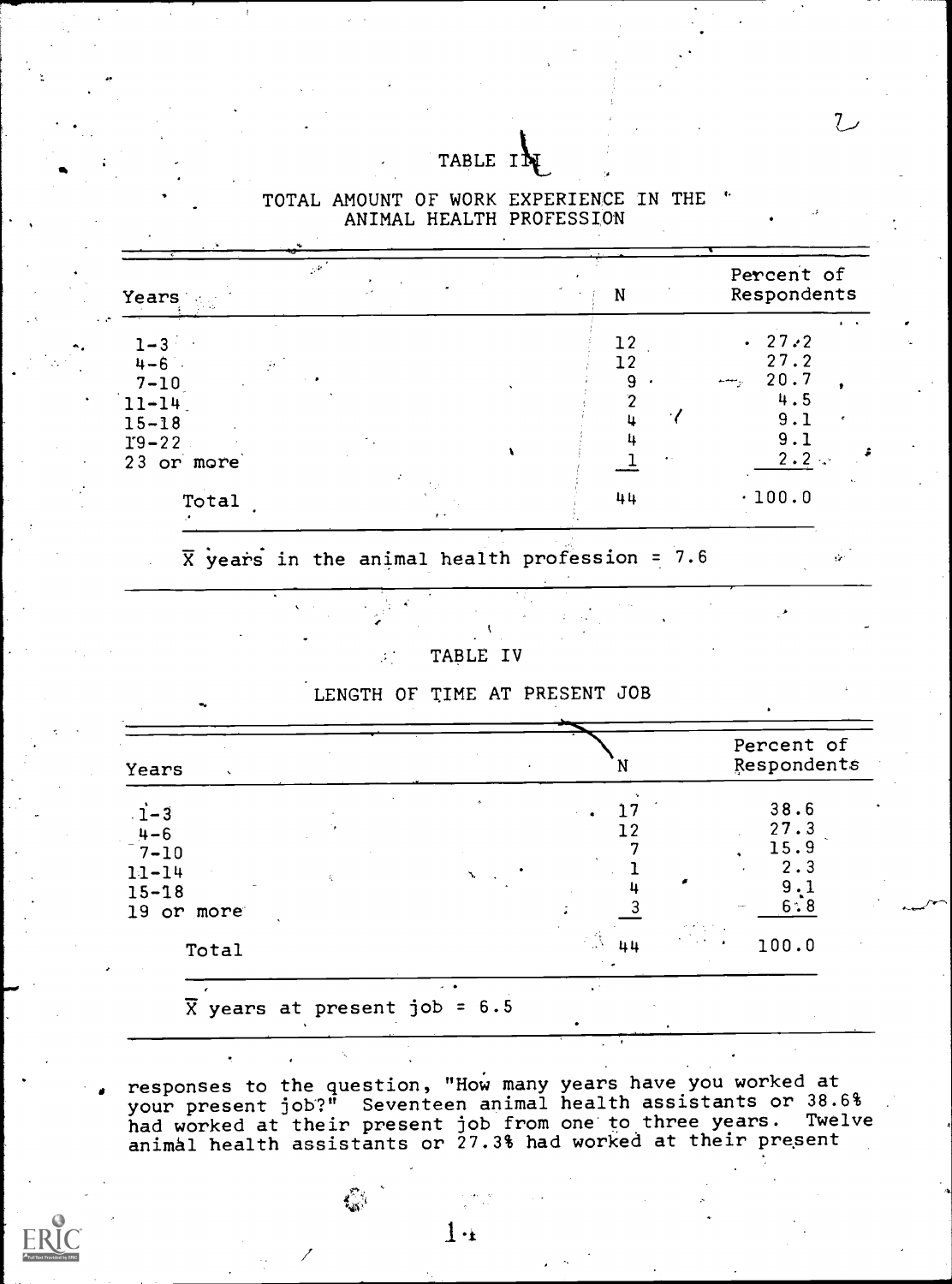## TABLE IN

| $\mathbb{R}^2$<br>Years                                                                 | N                          | Percent of<br>Respondents                                                           |
|-----------------------------------------------------------------------------------------|----------------------------|-------------------------------------------------------------------------------------|
| $1 - 3$<br>$4 - 6$<br>š,<br>$7 - 10$<br>$11 - 14$<br>$15 - 18$<br>$I9-22$<br>23 or more | 12<br>12<br>9<br>$\bullet$ | . 27:2<br>27.2<br>20.7<br>يتعصم<br>4.5<br>9.1<br>$\epsilon$<br>9.1<br>$2 \cdot 2$ : |
| Total                                                                                   | 44                         | $\ddot{\phantom{a}}$<br>.100.0                                                      |

TOTAL AMOUNT OF WORK EXPERIENCE IN THE ' ANIMAL HEALTH PROFESSION

 $\overline{X}$  years in the animal health profession = 7.6

TABLE IV

 $\mathcal{F}^{\mathcal{A}}$ 

LENGTH OF TIME AT PRESENT JOB

| Years<br>$\cdot$ |  | N        | Percent of<br>Respondents |
|------------------|--|----------|---------------------------|
| $\dot{1}$ -3     |  |          | 38.6                      |
| $4 - 6$          |  |          | 27.3                      |
| $7 - 10$         |  |          | 15.9                      |
| $11 - 14$        |  |          | 2.3                       |
| $15 - 18$        |  |          | 9                         |
| 19<br>or more    |  |          | 6:8                       |
|                  |  |          |                           |
| Total            |  | 医薄<br>44 | 100.0                     |
|                  |  |          |                           |

responses to the question, "How many years have you worked at your present job?" Seventeen animal health assistants or 38.6%

had worked at their present job from one to three years. Twelve animal health assistants or 27.3% had worked at their present

 $\mathcal{L}_{\mathbf{r}}$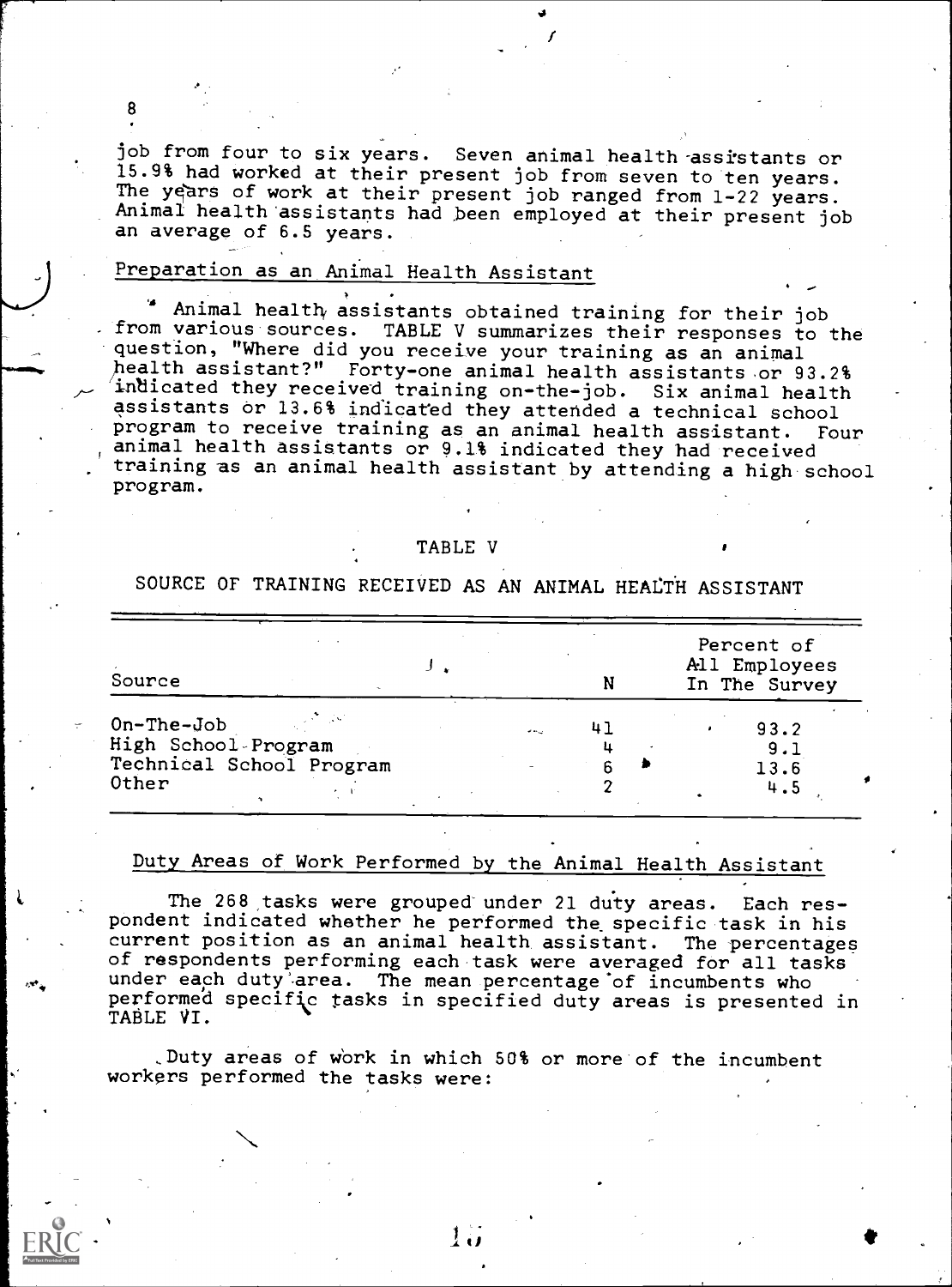job from four to six years. Seven animal health assistants or<br>15.9% had worked at their present job from seven to ten years. The years of work at their present job ranged from 1-22 years. Animal health assistants had been employed at their present job an average of 6.5 years.

Nal

#### Preparation as an Animal Health Assistant

8

Animal health assistants obtained training for their job from various sources. TABLE V summarizes their responses to the question, "Where did you receive your training as an animal health assistant?" Forty-one animal health assistants or 93.2% indicated they received training on-the-job. Six animal health assistants or 13.6% indicated they attended a technical school program to receive training as an animal health assistant. Four animal health assistants or 9.1% indicated they had received training as an animal health assistant by attending a high school program.

#### TABLE V

SOURCE OF TRAINING RECEIVED AS AN ANIMAL HEALTH ASSISTANT

| Source                   |           |    |  | Percent of<br>All Employees<br>In The Survey |  |  |
|--------------------------|-----------|----|--|----------------------------------------------|--|--|
| $On$ -The-Job            | المرابطات | 41 |  | 93.2                                         |  |  |
| High School-Program      |           |    |  | 9.1                                          |  |  |
| Technical School Program |           |    |  | 13.6                                         |  |  |
| Other                    |           |    |  | 4.5                                          |  |  |

#### Duty Areas of Work Performed by the Animal Health Assistant

The 268 tasks were grouped under 21 duty areas. Each respondent indicated whether he performed the specific task in his current position as an animal health, assistant. The percentages of respondents performing each task were averaged for all tasks under each duty area. The mean percentage of incumbents who performe'd specific tasks in specified duty areas is presented in TABLE VI.

,Duty areas of work in which 50% or more of the incumbent workers performed the tasks were:

N



 $\mathbf{I}$  of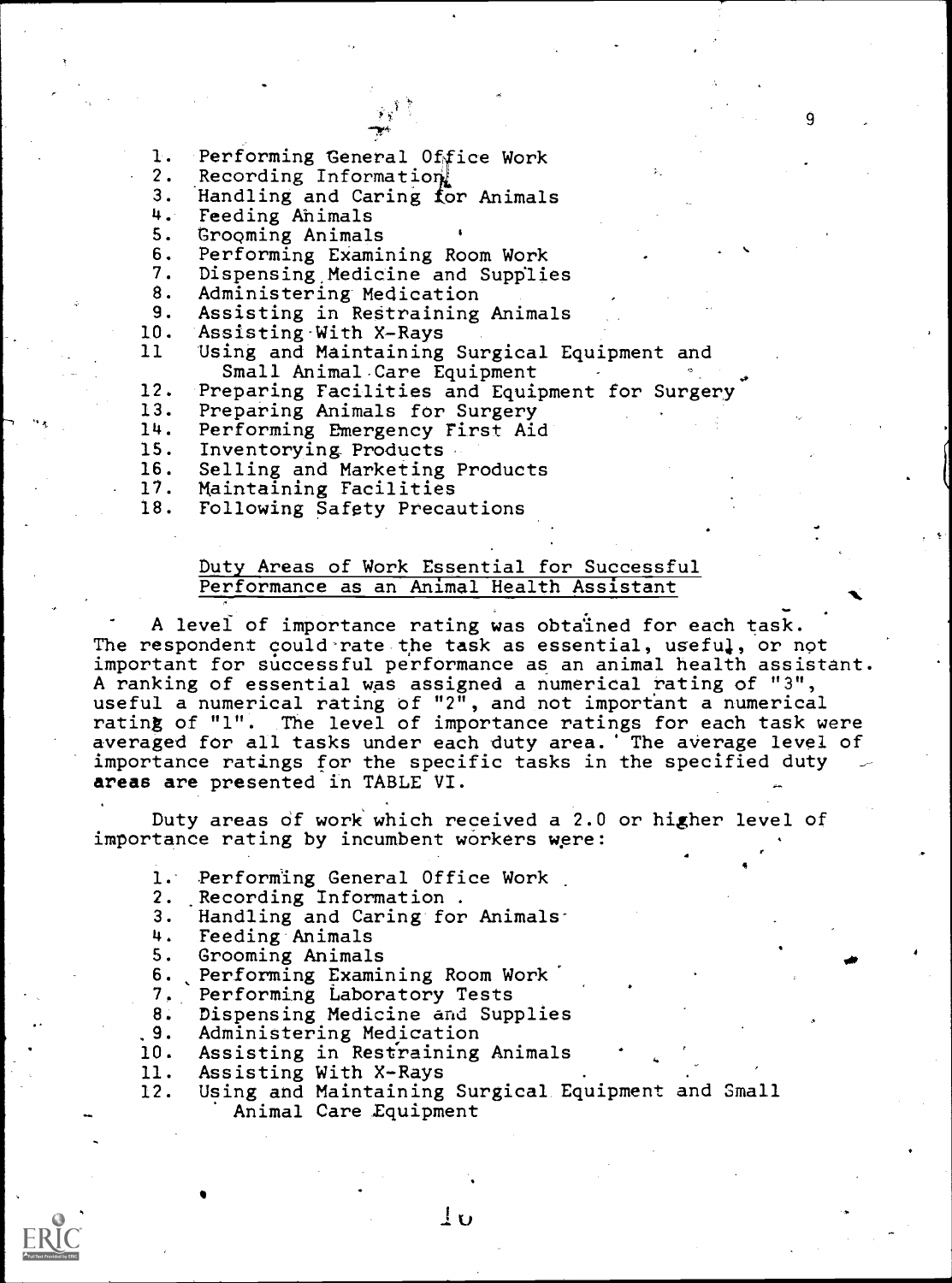- 1. Performing General Office Work<br>2. Recording Information
- 2. Recording Information

3. Handling and Caring for Animals<br>4. Feeding Animals

4. Feeding Ahimals<br>5. Grooming Animal

5. Grooming Animals<br>6. Performing Exami

6. Performing Examining Room Work

7. Dispensing Medicine and Supplies<br>8. Administering Medication

8. Administering Medication

9. Assisting in Restraining Animals<br>10. Assisting With X-Rays

10. Assisting-With X-Rays<br>11 Using and Maintaining

Using and Maintaining Surgical Equipment and Small Animal Care Equipment

12. Preparing Facilities and Equipment for Surgery<br>13. Preparing Animals for Surgery

13. Preparing Animals for Surgery<br>14. Performing Emergency First Aio

14. Performing Emergency First Aid

15. Inventorying Products<br>16. Selling and Marketing 1

16. Selling and Marketing Products<br>17. Maintaining Facilities

17. Maintaining Facilities<br>18. Following Safety Precau

Following Safety Precautions

#### Duty Areas of Work Essential for Successful Performance as an Animal Health Assistant

A level of importance rating was obtained for each task. The respondent could rate the task as essential, useful, or not important for successful performance as an animal health assistant. A ranking of essential was assigned a numerical rating of "3", useful a numerical rating of "2", and not important a numerical rating of "1". The level of importance ratings for each task were averaged for all tasks under each duty area. The average level of importance ratings for the specific tasks in the specified duty areas are presented in TABLE VI.

Duty areas of work' which received a 2.0 or higher level of importance rating by incumbent workers were:

1. Performing General Office Work<br>2. Recording Information .

- 
- 2. Recording Information .<br>3. Handling and Caring for 3. Handling and Caring for Animals:<br>4. Feeding Animals
- 
- 4. Feeding Animals<br>5. Grooming Animal 5. Grooming Animals
- 
- 6. Performing Examining Room Work<br>7. Performing Laboratory Tests Performing Laboratory Tests
- 8. Dispensing Medicine and Supplies
- .9. Administering Medication
- 10. Assisting in Restraining Animals
- 
- 11. Assisting With X-Rays<br>12. Using and Maintaining Using and Maintaining Surgical Equipment and Small Animal Care Equipment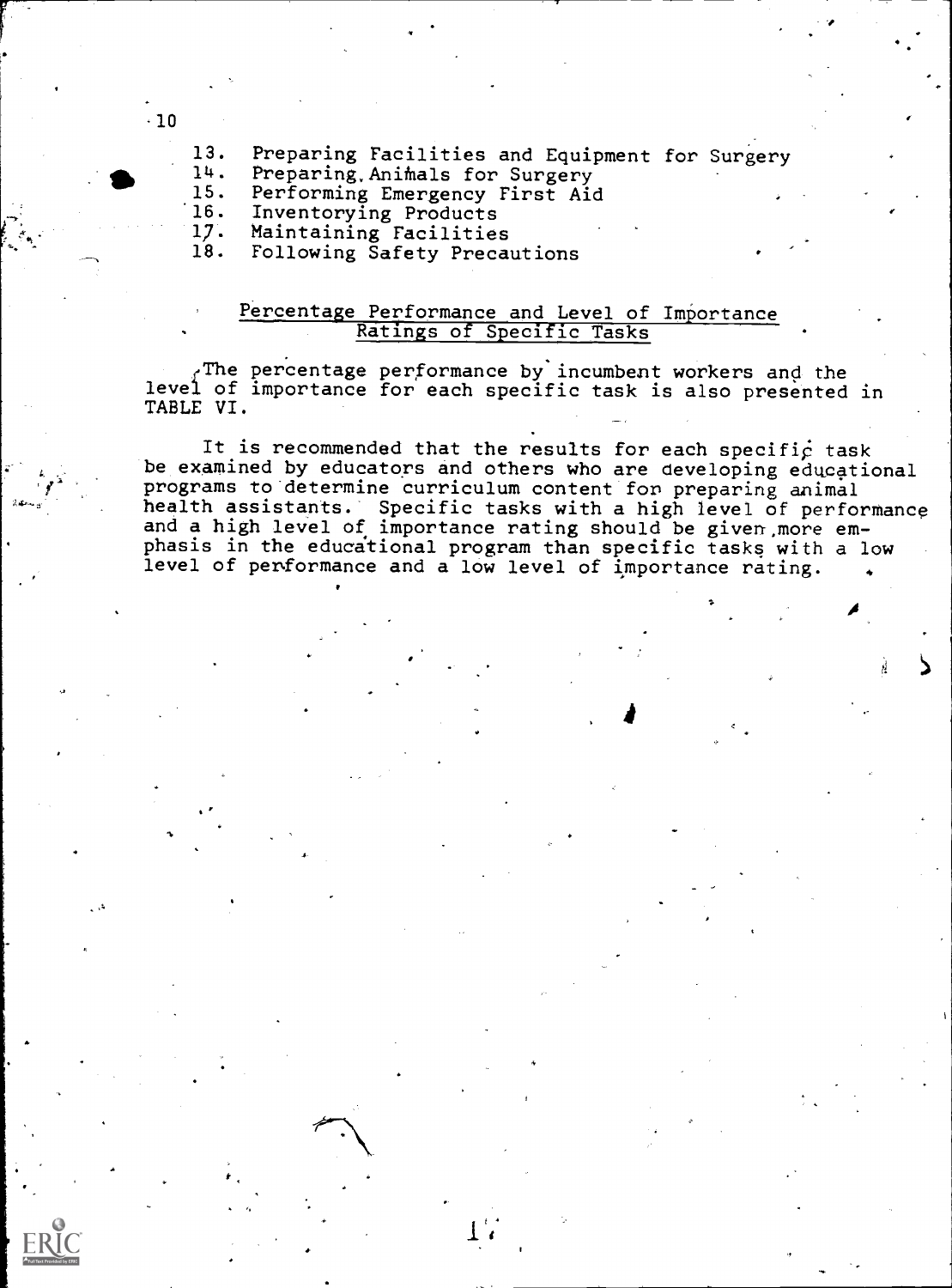$-10$ 

13. Preparing Facilities and Equipment for Surgery<br>14. Preparing Animals for Surgery

14. Preparing, Animals for Surgery<br>15. Performing Emergency First Aid

15. Performing Emergency First Aid<br>16. Inventorying Products

16. Inventorying Products<br>17. Maintaining Facilities

17. Maintaining Facilities<br>18. Following Safety Precau

18. Following Safety Precautions

#### Percentage Performance and Level of Importance Ratings of Specific Tasks

 $_f$ The percentage performance by incumbent workers and the level of importance for each specific task is also presented in TABLE VI.

It is recommended that the results for each specific task be examined by educators and others who are developing educational programs to determine curriculum content for preparing animal health assistants. Specific tasks with a high level of performance and a high level of importance rating should be given more emphasis in the educational program than specific tasks with a low level of performance and a low level of importance rating.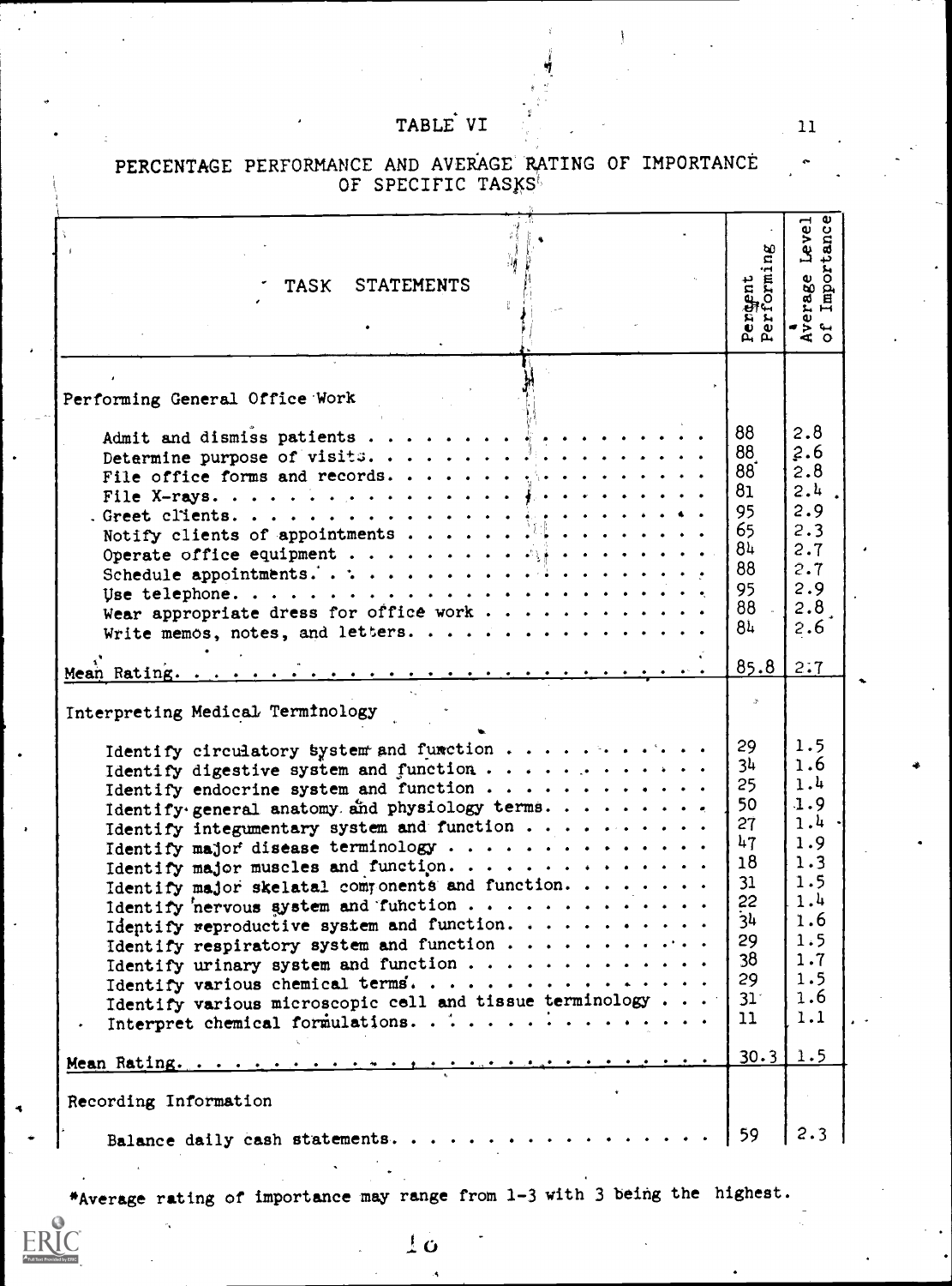### TABLE VI

| <b>STATEMENTS</b><br>TASK                                                                | Peroent<br>Performing | Average Level<br>of Importance |
|------------------------------------------------------------------------------------------|-----------------------|--------------------------------|
|                                                                                          |                       |                                |
| Performing General Office Work                                                           |                       |                                |
| Admit and dismiss patients                                                               | 88                    | 2.8                            |
|                                                                                          | 88                    | 2.6                            |
| File office forms and records.                                                           | 88 <sup>°</sup>       | 2.8                            |
|                                                                                          | 81                    | 2.4                            |
|                                                                                          | 95                    | 2.9                            |
|                                                                                          | 65                    | 2.3                            |
|                                                                                          | 84                    | 2.7                            |
|                                                                                          | 88                    | 2.7                            |
|                                                                                          | 95                    | 2.9                            |
| Wear appropriate dress for office work                                                   | 88                    | 2.8                            |
| Write memos, notes, and letters.                                                         | 84                    | $2.6^{\circ}$                  |
|                                                                                          |                       |                                |
|                                                                                          | 85.8                  | 2:7                            |
| Interpreting Medical Terminology                                                         |                       |                                |
|                                                                                          | 29                    | 1.5                            |
|                                                                                          |                       |                                |
| Identify circulatory system and function                                                 | 3 <sup>h</sup>        | 1.6                            |
| Identify digestive system and function                                                   | 25                    | 1.4                            |
| Identify endocrine system and function<br>Identify general anatomy and physiology terms. | 50                    | 1.9                            |
| Identify integumentary system and function                                               | 27                    | 1.4.                           |
|                                                                                          | 47                    | 1.9                            |
| Identify major muscles and function.                                                     | 18                    | 1.3                            |
| Identify major skelatal components and function.                                         | 31                    | 1.5                            |
| Identify nervous system and function                                                     | 22                    | 1.4                            |
| Identify reproductive system and function.                                               | 34                    | 1.6                            |
| Identify respiratory system and function                                                 | 29                    | 1.5                            |
|                                                                                          | 38                    | 1.7                            |
| Identify various chemical terms.                                                         | 29                    | 1.5                            |
| Identify various microscopic cell and tissue terminology $\cdots$                        | 31 <sup>2</sup>       | 1.6                            |
| Interpret chemical formulations.<br>$\bullet$                                            | 11                    | 1.1                            |
|                                                                                          | $30.3$ 1.5            |                                |
|                                                                                          |                       |                                |
| Recording Information                                                                    |                       |                                |
| Balance daily cash statements.                                                           | 59                    | 2.3                            |

# PERCENTAGE PERFORMANCE AND AVERAGE RATING OF IMPORTANCE

\*Average rating of importance may range from 1-3 with 3 being the highest.

ن ا

11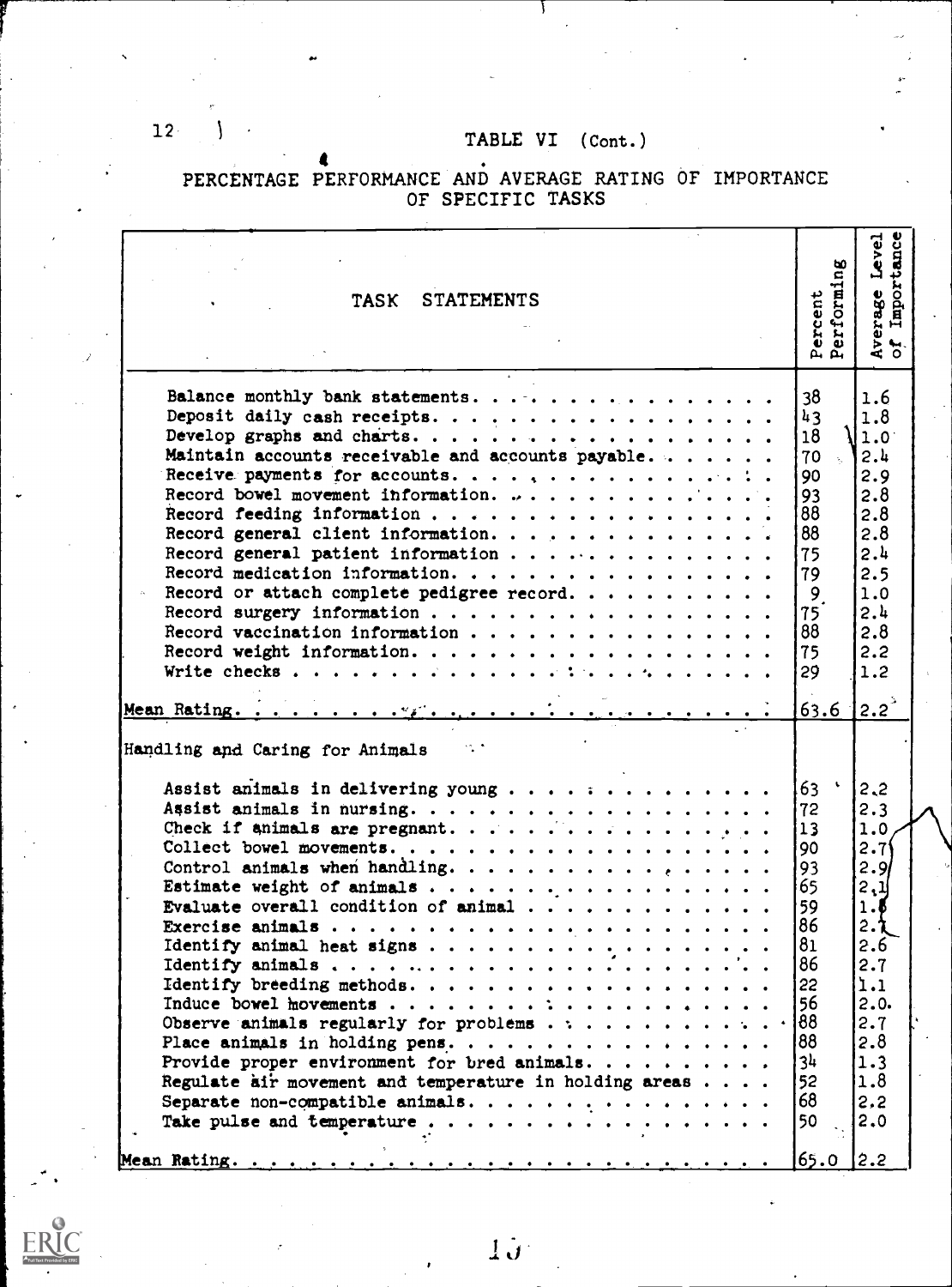PERCENTAGE PERFORMANCE AND AVERAGE RATING OF IMPORTANCE OF SPECIFIC TASKS

| Balance monthly bank statements.<br>38<br>1.6<br>43<br>1.8<br>18<br>1.0 <sup>1</sup><br>Maintain accounts receivable and accounts payable<br>2.4<br>70<br>$\sim$<br>2.9<br>90<br>Record bowel movement information. $\cdots$<br>2.8<br>93<br>88<br>2.8<br>88<br>2.8<br>Record general client information.<br>2.4<br>Record general patient information<br>75<br>2.5<br>Record medication information.<br>79<br>Record or attach complete pedigree record.<br>$\overline{9}$<br>1.0<br>2.4<br>75<br>88<br>2.8<br>75<br>2.2<br>1.2<br>29<br>$\sqrt{2.2}$<br>63.6<br>Handling and Caring for Animals<br>$\bullet$<br>Assist animals in delivering young<br>63<br>2,2<br>2.3<br>72<br>Check if animals are pregnant.<br>13<br>1.0<br>2.71<br>90<br>2.91<br>Control animals when handling.<br>93<br>65  <br>2,1<br>59<br>1.5<br>86<br>2. <mark>ኒ</mark><br>81<br>2.6<br>86<br>2.7<br>1.1<br> 22<br>56.<br>2.0.<br>Observe animals regularly for problems $\cdots \cdots \cdots$<br>2.7<br>188<br>2.8<br>34<br>1.3<br>52<br>1.8<br>Regulate air movement and temperature in holding areas<br>68<br>Separate non-compatible animals.<br>2,2<br>50<br>2.0 | <b>STATEMENTS</b><br><b>TASK</b> | Percent<br>Performing | ပ္ပ<br>Level<br>Importan<br>Average<br>of Impor |  |
|---------------------------------------------------------------------------------------------------------------------------------------------------------------------------------------------------------------------------------------------------------------------------------------------------------------------------------------------------------------------------------------------------------------------------------------------------------------------------------------------------------------------------------------------------------------------------------------------------------------------------------------------------------------------------------------------------------------------------------------------------------------------------------------------------------------------------------------------------------------------------------------------------------------------------------------------------------------------------------------------------------------------------------------------------------------------------------------------------------------------------------------------------|----------------------------------|-----------------------|-------------------------------------------------|--|
|                                                                                                                                                                                                                                                                                                                                                                                                                                                                                                                                                                                                                                                                                                                                                                                                                                                                                                                                                                                                                                                                                                                                                   |                                  |                       |                                                 |  |
| 2.2 <br>65.0                                                                                                                                                                                                                                                                                                                                                                                                                                                                                                                                                                                                                                                                                                                                                                                                                                                                                                                                                                                                                                                                                                                                      |                                  |                       |                                                 |  |



I L1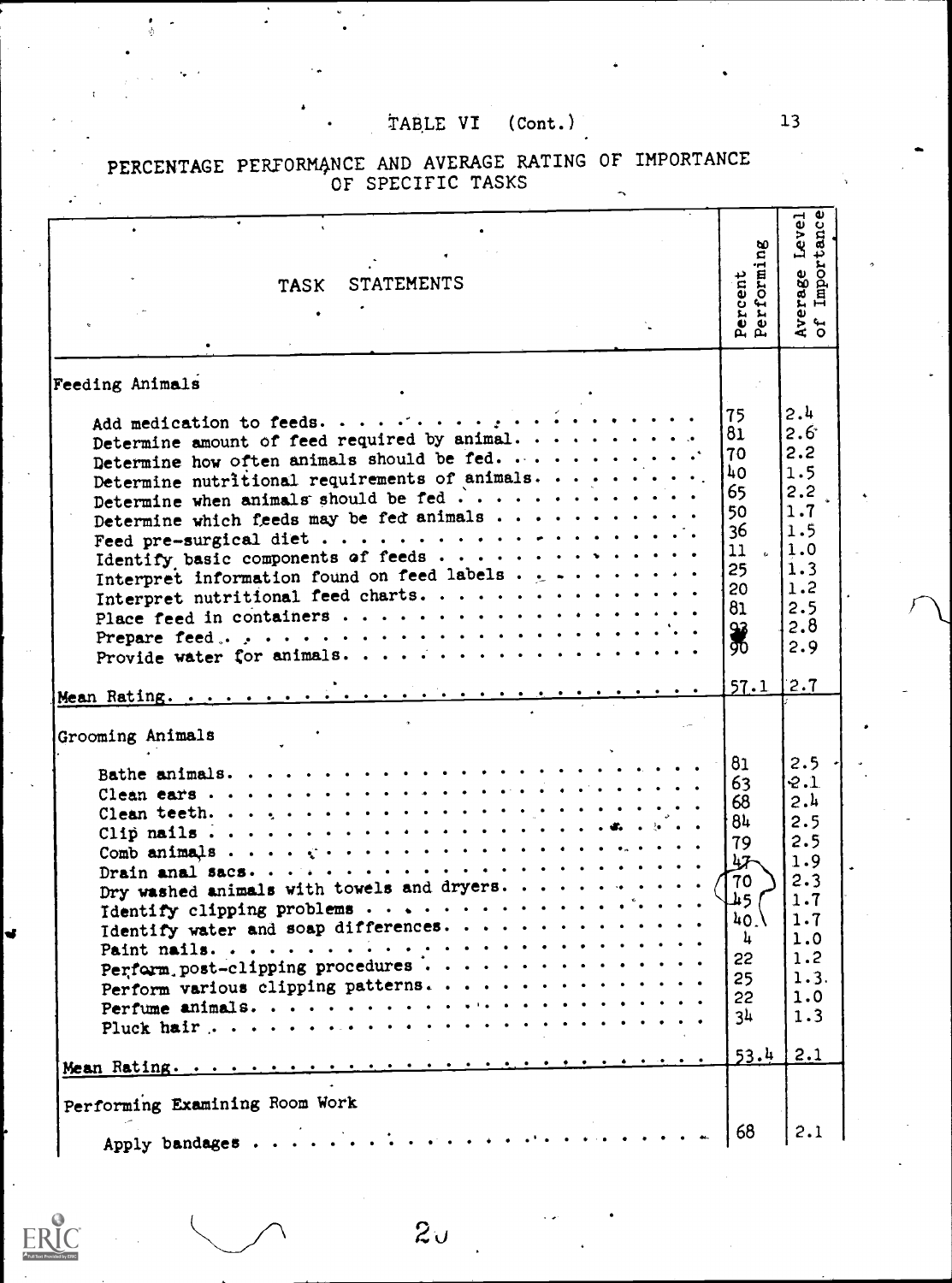| <b>STATEMENTS</b><br><b>TASK</b>                                                                                                                                                                                                                                                                                                                                                                                                                                                                                                                                                                                                                                                                                                                                       | Percent<br>Performing                                                                                                    | Average Level<br>of Importance                                                                           |  |
|------------------------------------------------------------------------------------------------------------------------------------------------------------------------------------------------------------------------------------------------------------------------------------------------------------------------------------------------------------------------------------------------------------------------------------------------------------------------------------------------------------------------------------------------------------------------------------------------------------------------------------------------------------------------------------------------------------------------------------------------------------------------|--------------------------------------------------------------------------------------------------------------------------|----------------------------------------------------------------------------------------------------------|--|
| Feeding Animals<br>Add medication to feeds.<br>Determine amount of feed required by animal. $\cdots$<br>Determine how often animals should be fed. $\cdots$<br>Determine nutritional requirements of animals.<br>Determine when animals should be fed<br>Determine which feeds may be fed animals<br>Interpret information found on feed labels . $1 + \cdots + \cdots$<br>Interpret nutritional feed charts.<br>Prepare feed, $\ldots$ , $\ldots$ , $\ldots$ , $\ldots$ , $\ldots$ , $\ldots$ , $\ldots$ , $\ldots$ , $\ldots$ , $\ldots$ , $\ldots$ , $\ldots$ , $\ldots$ , $\ldots$ , $\ldots$ , $\ldots$ , $\ldots$ , $\ldots$ , $\ldots$ , $\ldots$ , $\ldots$ , $\ldots$ , $\ldots$ , $\ldots$ , $\ldots$ , $\ldots$ , $\ldots$ , $\ldots$ , $\ldots$ , $\ldots$ | 75.<br>81<br>70<br><b>40</b><br>65<br>50<br>36<br>11<br>$\mathbf{r}_{\mathrm{in}}$<br>25<br>20<br>81<br>96<br>90<br>57.1 | 2.4<br>$2.6^{\circ}$<br>2.2<br>1.5<br>2.2<br>1.7<br>1.5<br>1.0<br>1.3<br>1.2<br>2.5<br>2.8<br>2.9<br>2.7 |  |
| Grooming Animals<br>Dry washed animals with towels and dryers.<br>Identify water and soap differences.<br>Perform post-clipping procedures<br>Perform various clipping patterns.                                                                                                                                                                                                                                                                                                                                                                                                                                                                                                                                                                                       | 81<br>63<br>68<br>84<br>79<br>47<br>70<br>L45.<br>40 <sub>1</sub><br>4<br>22<br>25<br>22<br>3 <sup>h</sup><br>53.4       | 2.5<br>2.1<br>2.4<br>2.5<br>2.5<br>1.9<br>2.3<br>1.7<br>1.7<br>1.0<br>1.2<br>1.3.<br>1.0<br>1.3<br>2.1   |  |
| Performing Examining Room Work<br>. The contribution of the contribution of the contribution of the contribution of the contribution of the contribution of the contribution of the contribution of the contribution of the contribution of the contribution of<br>Apply bandages                                                                                                                                                                                                                                                                                                                                                                                                                                                                                      | 68                                                                                                                       | 2.1                                                                                                      |  |

 $2<sub>U</sub>$ 

#### PERCENTAGE PERFORMANCE AND AVERAGE RATING OF IMPORTANCE OF SPECIFIC TASKS

13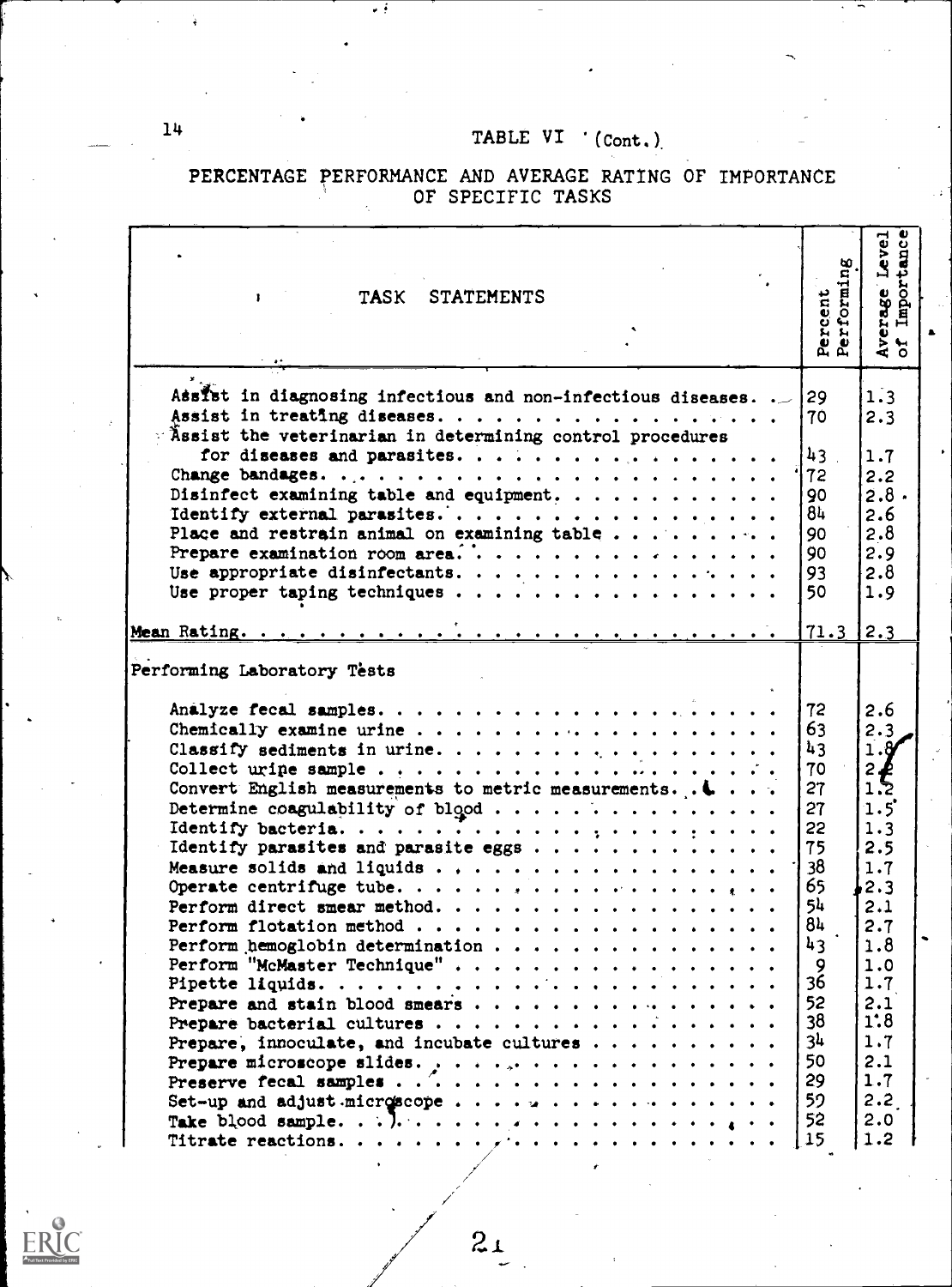PERCENTAGE PERFORMANCE AND AVERAGE RATING OF IMPORTANCE OF SPECIFIC TASKS

| TASK STATEMENTS                                                                                                                                                                                                                                                                                                                                                                                                                                                                                                        | Percent<br>Performing                                                                                                                 | Importance<br>Average Level<br>of Importance                                                                                                                           |
|------------------------------------------------------------------------------------------------------------------------------------------------------------------------------------------------------------------------------------------------------------------------------------------------------------------------------------------------------------------------------------------------------------------------------------------------------------------------------------------------------------------------|---------------------------------------------------------------------------------------------------------------------------------------|------------------------------------------------------------------------------------------------------------------------------------------------------------------------|
| Assist in diagnosing infectious and non-infectious diseases<br>Assist the veterinarian in determining control procedures                                                                                                                                                                                                                                                                                                                                                                                               | 29<br>70                                                                                                                              | 1.3<br>2.3                                                                                                                                                             |
| for diseases and parasites.<br>Disinfect examining table and equipment.<br>Identify external parasites<br>Place and restrain animal on examining table<br>Use appropriate disinfectants.<br>Use proper taping techniques                                                                                                                                                                                                                                                                                               | 43 <sup>1</sup><br>72<br>90<br>84<br>90<br>90<br>93<br>50                                                                             | 1.7<br>2.2<br>2.8.<br>2.6<br>2.8<br>2.9<br>2.8<br>1.9                                                                                                                  |
|                                                                                                                                                                                                                                                                                                                                                                                                                                                                                                                        | 71.3                                                                                                                                  | 2.3                                                                                                                                                                    |
| Performing Laboratory Tests<br>Analyze fecal samples.<br>Convert English measurements to metric measurements. $\blacksquare$<br>Determine coagulability of blood<br>Identify parasites and parasite eggs<br>Perform direct smear method.<br>Perform flotation method<br>Perform hemoglobin determination<br>Perform "McMaster Technique"<br>Prepare, innoculate, and incubate cultures<br>Prepare microscope slides. $\cdot \cdot \cdot \cdot \cdot \cdot \cdot \cdot \cdot \cdot \cdot \cdot \cdot \cdot \cdot \cdot$ | 72<br>63<br>43<br>70<br>27<br>27<br>55<br>75<br>38<br>65<br>54<br>84<br>43<br>9<br>36<br>52<br>38<br>3 <sup>1</sup><br>50<br>29<br>59 | 2.6<br>2.3<br>1.8<br>2<br>$\frac{2}{1}$<br>$1.5$ <sup>'</sup><br>1.3<br>2.5<br>1.7<br>2.3<br>2.1<br>2.7<br>1.8<br>1.0<br>1.7<br>2.1<br>1:8<br>1.7<br>2.1<br>1.7<br>2.2 |



 $14$ 

 $21$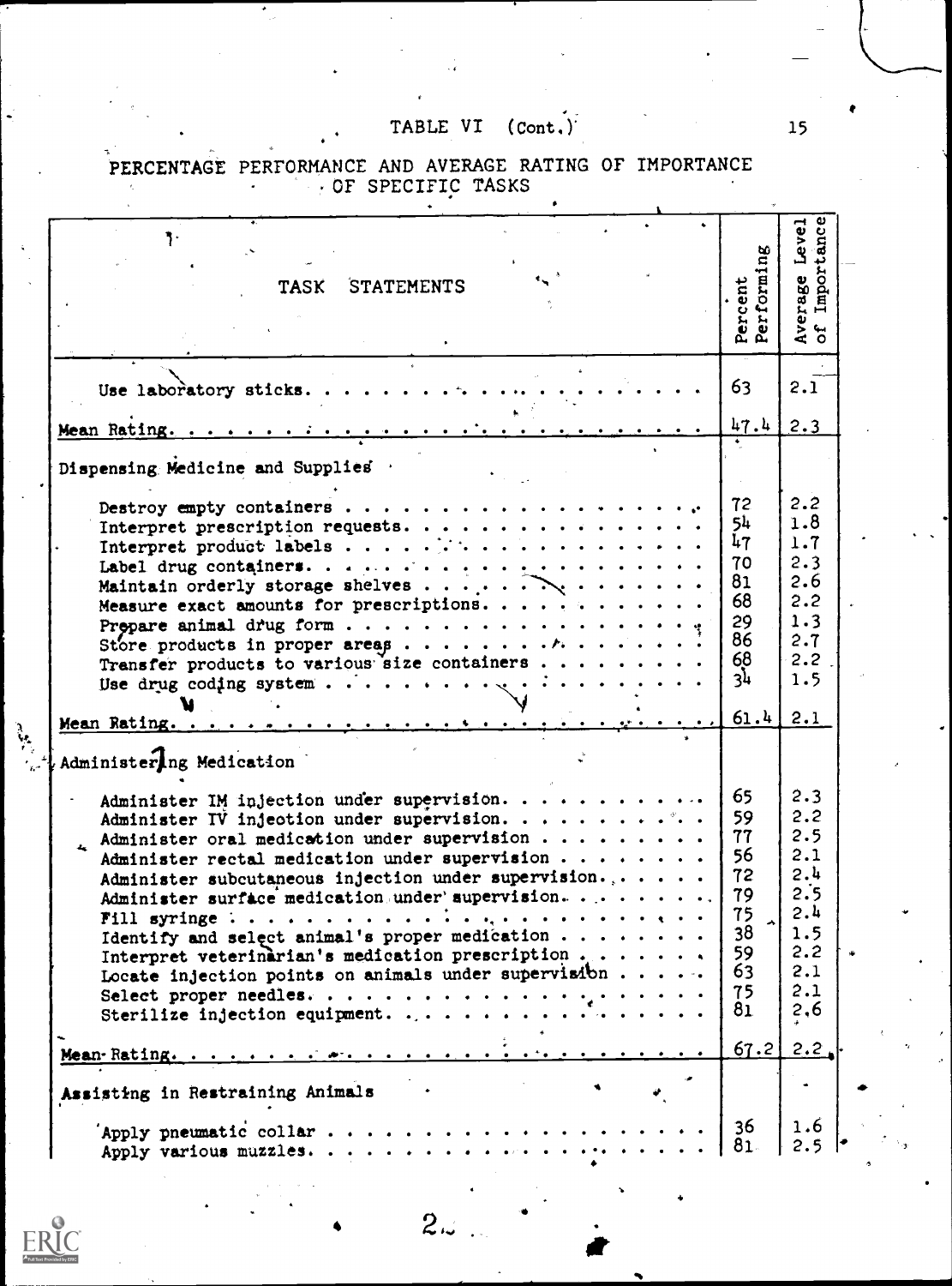PERCENTAGE PERFORMANCE AND AVERAGE RATING OF IMPORTANCE

| ŋ.                                                              |                                                                                                                                                                                                                                |  |                       |                                |
|-----------------------------------------------------------------|--------------------------------------------------------------------------------------------------------------------------------------------------------------------------------------------------------------------------------|--|-----------------------|--------------------------------|
|                                                                 |                                                                                                                                                                                                                                |  |                       | Average Level<br>of Importance |
|                                                                 |                                                                                                                                                                                                                                |  |                       |                                |
|                                                                 | TASK STATEMENTS                                                                                                                                                                                                                |  | Percent<br>Performing |                                |
|                                                                 |                                                                                                                                                                                                                                |  |                       |                                |
|                                                                 |                                                                                                                                                                                                                                |  |                       |                                |
|                                                                 |                                                                                                                                                                                                                                |  |                       |                                |
|                                                                 |                                                                                                                                                                                                                                |  |                       |                                |
| Use laboratory sticks.                                          |                                                                                                                                                                                                                                |  | 63                    | 2.1                            |
|                                                                 |                                                                                                                                                                                                                                |  |                       |                                |
|                                                                 |                                                                                                                                                                                                                                |  | 47.4                  | 2.3                            |
|                                                                 |                                                                                                                                                                                                                                |  |                       |                                |
| Dispensing Medicine and Supplies .                              |                                                                                                                                                                                                                                |  |                       |                                |
| Destroy empty containers                                        |                                                                                                                                                                                                                                |  | 72                    | 2.2                            |
| Interpret prescription requests.                                |                                                                                                                                                                                                                                |  | 54                    | 1.8                            |
|                                                                 |                                                                                                                                                                                                                                |  | 47                    | 1.7                            |
|                                                                 |                                                                                                                                                                                                                                |  | 70                    | 2.3                            |
| Maintain orderly storage shelves                                |                                                                                                                                                                                                                                |  | 81                    | 2.6                            |
| Measure exact amounts for prescriptions.                        |                                                                                                                                                                                                                                |  | 68                    | 2.2                            |
|                                                                 |                                                                                                                                                                                                                                |  | 29                    | 1.3                            |
|                                                                 |                                                                                                                                                                                                                                |  | 86                    | 2.7                            |
| Transfer products to various size containers                    |                                                                                                                                                                                                                                |  | 68                    | 2.2                            |
|                                                                 |                                                                                                                                                                                                                                |  | 3 <sup>1</sup>        | 1.5                            |
|                                                                 |                                                                                                                                                                                                                                |  |                       |                                |
|                                                                 |                                                                                                                                                                                                                                |  | 61.4                  | 2.1                            |
|                                                                 |                                                                                                                                                                                                                                |  |                       |                                |
| Administering Medication                                        |                                                                                                                                                                                                                                |  |                       |                                |
| Administer IM injection under supervision.                      |                                                                                                                                                                                                                                |  | 65                    | 2.3                            |
| Administer IV injection under supervision.                      |                                                                                                                                                                                                                                |  | 59                    | 2.2                            |
| Administer oral medication under supervision                    |                                                                                                                                                                                                                                |  | 77                    | 2.5                            |
| Administer rectal medication under supervision                  |                                                                                                                                                                                                                                |  | 56                    | 2.1                            |
| Administer subcutaneous injection under supervision             |                                                                                                                                                                                                                                |  | 72                    | 2.4                            |
| Administer surface medication under supervision                 |                                                                                                                                                                                                                                |  | 79                    | 2.5                            |
| Fill syringe :                                                  |                                                                                                                                                                                                                                |  | 75                    | 2.4                            |
| Identify and select animal's proper medication                  |                                                                                                                                                                                                                                |  | 38                    | 1.5                            |
| Interpret veterinarian's medication prescription $\ldots$       |                                                                                                                                                                                                                                |  | 59                    | 2.2                            |
| Locate injection points on animals under supervisibn $\cdots$ . |                                                                                                                                                                                                                                |  | 63                    | 2.1                            |
| Select proper needles.                                          |                                                                                                                                                                                                                                |  | 75                    | 2.1                            |
| Sterilize injection equipment.                                  |                                                                                                                                                                                                                                |  | 81                    | 2,6                            |
|                                                                 |                                                                                                                                                                                                                                |  |                       |                                |
| Mean-Rating                                                     | when the company's company's company of the company of the company of the company of the company of the company of the company of the company of the company of the company of the company of the company of the company of th |  | 67.2                  | 2.2                            |
|                                                                 |                                                                                                                                                                                                                                |  |                       |                                |
|                                                                 |                                                                                                                                                                                                                                |  |                       |                                |
| Assisting in Restraining Animals                                |                                                                                                                                                                                                                                |  |                       |                                |
| Apply pneumatic collar.                                         |                                                                                                                                                                                                                                |  | 36                    | 1.6                            |

 $2.3$ 

 $15<sub>1</sub>$ 

 $\frac{1}{2}$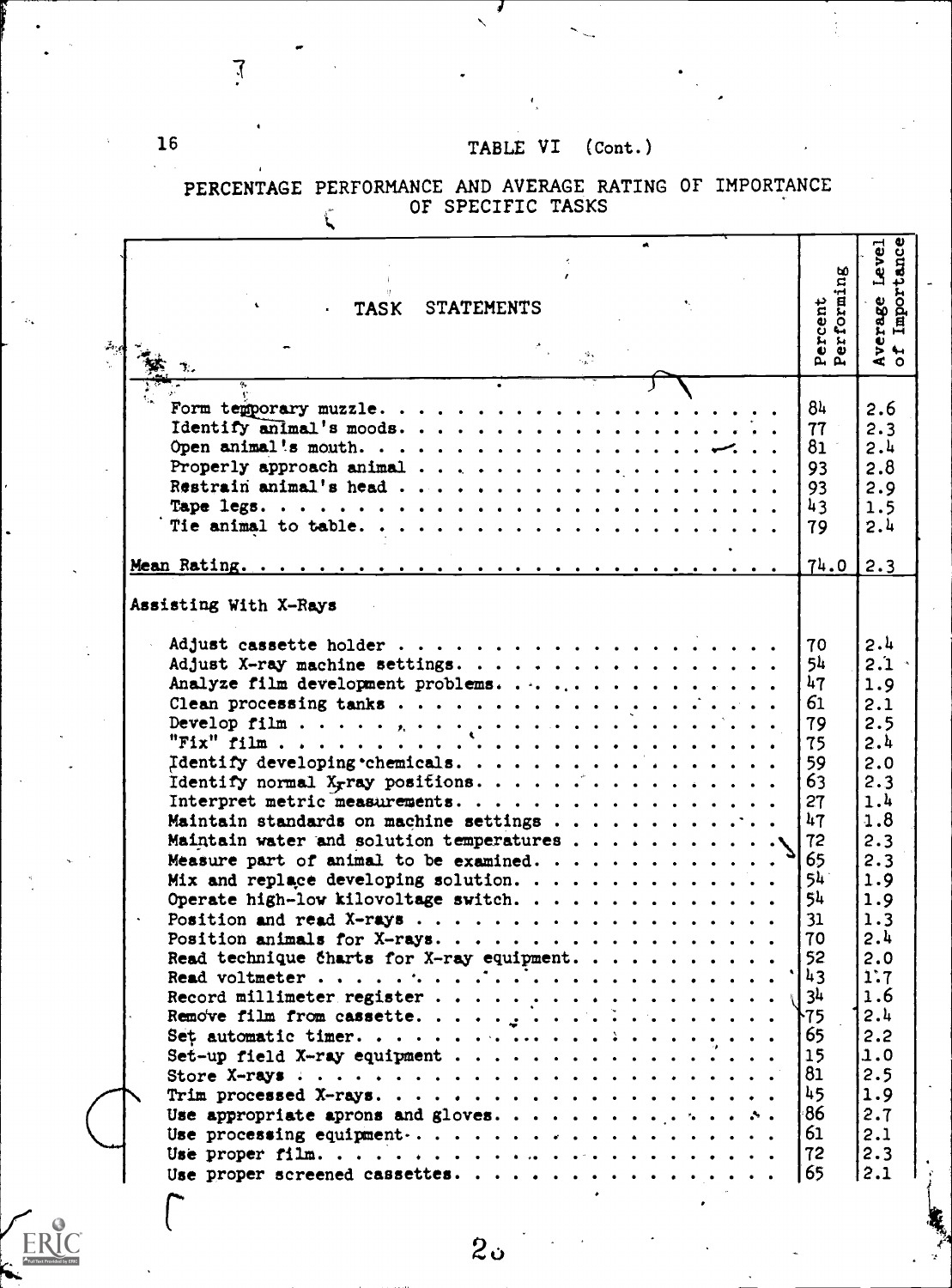| Importance<br>Level<br>Percent<br>Performing<br>Average<br>of Impor<br><b>STATEMENTS</b><br><b>TASK</b><br>$\frac{d\Phi}{d\omega^2}$<br>84<br>2.6<br>77<br>2.3<br>2.4<br>81<br>2.8<br>93<br>Restrain animal's head<br>2.9<br>93<br>43<br>1.5<br>2.4<br>79<br>74.0<br>2.3<br>Assisting With X-Rays<br>2.4<br>70<br>5 <sup>h</sup><br>$2.1 -$<br>Adjust X-ray machine settings.<br>47<br>Analyze film development problems.<br>1.9<br>61<br>Clean processing tanks $\cdots$<br>2.1<br>2.5<br>79<br>Develop film $\ldots$ , $\ldots$ , $\ldots$ , $\ldots$ , $\ldots$ , $\ldots$ , $\ldots$ , $\ldots$ , $\ldots$ , $\ldots$<br>2.4<br>75<br>Identify developing chemicals.<br>59<br>2.0<br>Identify normal $Xr$ ray positions<br>63<br>2.3<br>1.4<br>Interpret metric measurements.<br>27<br>47<br>1.8<br>Maintain standards on machine settings<br>2.3<br>72<br>65<br>2.3<br>$54^{\circ}$<br>1.9<br>54<br>Operate high-low kilovoltage switch.<br>1.9<br>31<br>1.3<br>2.4<br>70<br>Read technique charts for X-ray equipment.<br>52<br>2.0<br>1:7<br>43<br>3 <sup>1</sup><br>1.6<br>2.4<br>ት75<br>65<br>2.2<br>1.0<br>Set-up field X-ray equipment<br>15<br>2.5<br>81<br>45<br>1.9<br>86<br>2.7<br>2.1<br>61<br>2.3<br>72<br>65<br>2.1<br>Use proper screened cassettes.<br>∼ |  |  |
|------------------------------------------------------------------------------------------------------------------------------------------------------------------------------------------------------------------------------------------------------------------------------------------------------------------------------------------------------------------------------------------------------------------------------------------------------------------------------------------------------------------------------------------------------------------------------------------------------------------------------------------------------------------------------------------------------------------------------------------------------------------------------------------------------------------------------------------------------------------------------------------------------------------------------------------------------------------------------------------------------------------------------------------------------------------------------------------------------------------------------------------------------------------------------------------------------------------------------------------------------------------------------|--|--|
|                                                                                                                                                                                                                                                                                                                                                                                                                                                                                                                                                                                                                                                                                                                                                                                                                                                                                                                                                                                                                                                                                                                                                                                                                                                                              |  |  |
|                                                                                                                                                                                                                                                                                                                                                                                                                                                                                                                                                                                                                                                                                                                                                                                                                                                                                                                                                                                                                                                                                                                                                                                                                                                                              |  |  |
|                                                                                                                                                                                                                                                                                                                                                                                                                                                                                                                                                                                                                                                                                                                                                                                                                                                                                                                                                                                                                                                                                                                                                                                                                                                                              |  |  |
|                                                                                                                                                                                                                                                                                                                                                                                                                                                                                                                                                                                                                                                                                                                                                                                                                                                                                                                                                                                                                                                                                                                                                                                                                                                                              |  |  |
|                                                                                                                                                                                                                                                                                                                                                                                                                                                                                                                                                                                                                                                                                                                                                                                                                                                                                                                                                                                                                                                                                                                                                                                                                                                                              |  |  |
|                                                                                                                                                                                                                                                                                                                                                                                                                                                                                                                                                                                                                                                                                                                                                                                                                                                                                                                                                                                                                                                                                                                                                                                                                                                                              |  |  |
|                                                                                                                                                                                                                                                                                                                                                                                                                                                                                                                                                                                                                                                                                                                                                                                                                                                                                                                                                                                                                                                                                                                                                                                                                                                                              |  |  |
|                                                                                                                                                                                                                                                                                                                                                                                                                                                                                                                                                                                                                                                                                                                                                                                                                                                                                                                                                                                                                                                                                                                                                                                                                                                                              |  |  |
|                                                                                                                                                                                                                                                                                                                                                                                                                                                                                                                                                                                                                                                                                                                                                                                                                                                                                                                                                                                                                                                                                                                                                                                                                                                                              |  |  |
|                                                                                                                                                                                                                                                                                                                                                                                                                                                                                                                                                                                                                                                                                                                                                                                                                                                                                                                                                                                                                                                                                                                                                                                                                                                                              |  |  |
|                                                                                                                                                                                                                                                                                                                                                                                                                                                                                                                                                                                                                                                                                                                                                                                                                                                                                                                                                                                                                                                                                                                                                                                                                                                                              |  |  |
|                                                                                                                                                                                                                                                                                                                                                                                                                                                                                                                                                                                                                                                                                                                                                                                                                                                                                                                                                                                                                                                                                                                                                                                                                                                                              |  |  |
|                                                                                                                                                                                                                                                                                                                                                                                                                                                                                                                                                                                                                                                                                                                                                                                                                                                                                                                                                                                                                                                                                                                                                                                                                                                                              |  |  |

 $20$ 

PERCENTAGE PERFORMANCE AND AVERAGE RATING OF IMPORTANCE OF SPECIFIC TASKS

 $\mathcal{I}$ 

 $\mathbf{r}$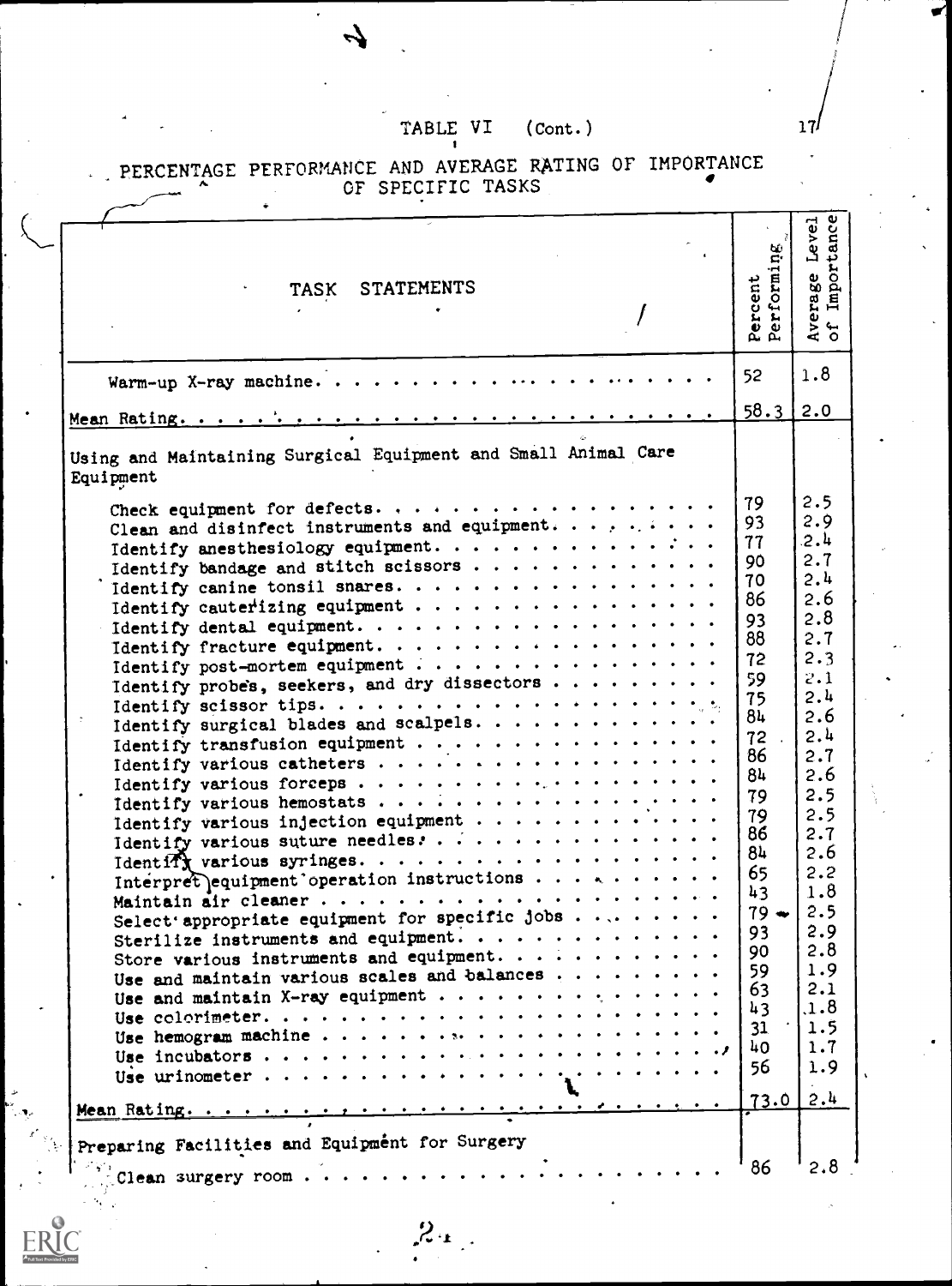| TASK STATEMENTS                                                                                                                                                                                                                                                                                                                                                                                                                                                                                                                                                                                                                                                                                                                                                                      | Percent<br>Performing                                                                                                                                                                    | Average Level<br>of Importance<br>Level                                                                                                                                                                                       |  |
|--------------------------------------------------------------------------------------------------------------------------------------------------------------------------------------------------------------------------------------------------------------------------------------------------------------------------------------------------------------------------------------------------------------------------------------------------------------------------------------------------------------------------------------------------------------------------------------------------------------------------------------------------------------------------------------------------------------------------------------------------------------------------------------|------------------------------------------------------------------------------------------------------------------------------------------------------------------------------------------|-------------------------------------------------------------------------------------------------------------------------------------------------------------------------------------------------------------------------------|--|
| Warm-up X-ray machine                                                                                                                                                                                                                                                                                                                                                                                                                                                                                                                                                                                                                                                                                                                                                                | 52 <sub>2</sub>                                                                                                                                                                          | 1.8                                                                                                                                                                                                                           |  |
|                                                                                                                                                                                                                                                                                                                                                                                                                                                                                                                                                                                                                                                                                                                                                                                      | 58.3                                                                                                                                                                                     | 2.0                                                                                                                                                                                                                           |  |
| Using and Maintaining Surgical Equipment and Small Animal Care<br>Equipment                                                                                                                                                                                                                                                                                                                                                                                                                                                                                                                                                                                                                                                                                                          |                                                                                                                                                                                          |                                                                                                                                                                                                                               |  |
| Clean and disinfect instruments and equipment.<br>Identify anesthesiology equipment.<br>Identify canine tonsil snares.<br>Identify cauterizing equipment<br>Identify fracture equipment.<br>Identify post-mortem equipment<br>Identify probes, seekers, and dry dissectors<br>Identify transfusion equipment<br>Identify various injection equipment<br>Identify various suture needles. $\ldots$<br>Interpret equipment operation instructions<br>Maintain air cleaner<br>Select appropriate equipment for specific jobs $\ldots$<br>Sterilize instruments and equipment.<br>Store various instruments and equipment.<br>Use and maintain various scales and balances<br>Use and maintain X-ray equipment<br>Use hemogram machine<br>Preparing Facilities and Equipment for Surgery | 79<br>93<br>77<br>90<br>70<br>86<br>93<br>88<br>72<br>59<br>75<br>84<br>$72$ .<br>86<br>84<br>79<br>79<br>86<br>8և<br>65<br>43<br>$79 -$<br>93<br>90<br>59<br>63<br>43<br>31<br>40<br>56 | 2.5<br>2.9<br>2.4<br>2.7<br>2.4<br>2.6<br>2.8<br>2.7<br>2.3<br>2.1<br>2.4<br>2.6<br>2.4<br>2.7<br>2.6<br>2.5<br>2.5<br>2.7<br>2.6<br>2.2<br>1.8<br>2.5<br>2.9<br>2.8<br>1.9<br>2.1<br>.1.8<br>1.5<br>1.7<br>1.9<br>$73.0$ 2.4 |  |

 $2x$ 

#### PERCENTAGE PERFORMANCE AND AVERAGE RATING OF IMPORTANCE OF SPECIFIC TASKS

 $\omega$  .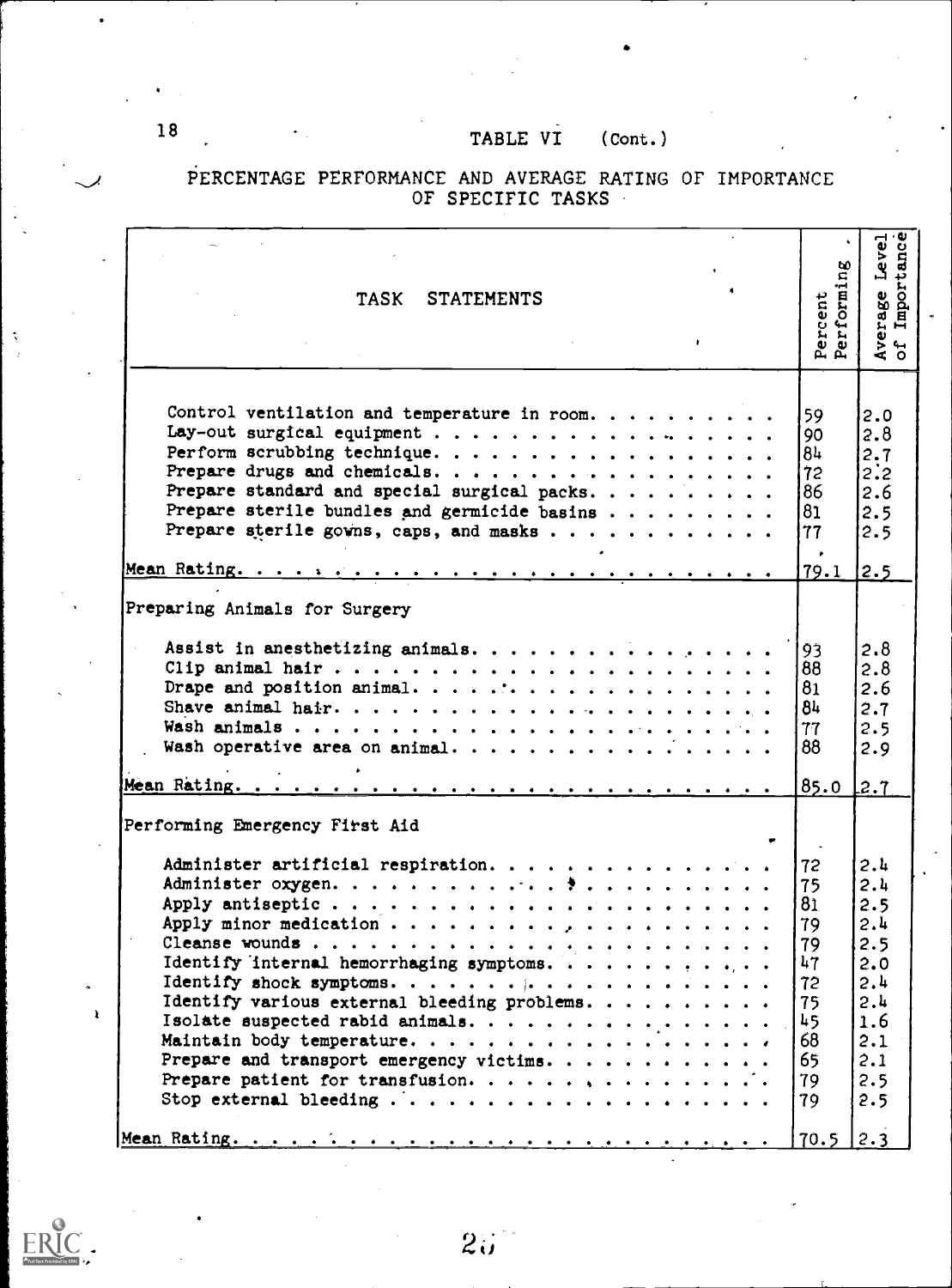# PERCENTAGE PERFORMANCE AND AVERAGE RATING OF IMPORTANCE OF SPECIFIC TASKS

| ٠                                                                                                                                                                  |  | Percent<br>Performing                                                                               | Average Level<br>of Importance                                                                 |
|--------------------------------------------------------------------------------------------------------------------------------------------------------------------|--|-----------------------------------------------------------------------------------------------------|------------------------------------------------------------------------------------------------|
| Control ventilation and temperature in room.<br>Lay-out surgical equipment<br>Perform scrubbing technique                                                          |  | 59<br>90<br>84                                                                                      | 2.0<br>2.8<br>2.7                                                                              |
| Prepare drugs and chemicals.                                                                                                                                       |  | 72                                                                                                  | 2:2                                                                                            |
| Prepare standard and special surgical packs.<br>Prepare sterile bundles and germicide basins                                                                       |  | 86<br>81                                                                                            | 2.6<br>2.5                                                                                     |
| Prepare sterile gowns, caps, and masks                                                                                                                             |  | 77                                                                                                  | 2.5                                                                                            |
|                                                                                                                                                                    |  | 79.1                                                                                                | 2.5                                                                                            |
| Preparing Animals for Surgery<br>Clip animal hair<br>Wash operative area on animal.                                                                                |  | 93<br>88<br>81<br>84<br>77<br>88                                                                    | 2.8<br>2.8<br>2.6<br>2.7<br>2.5<br>2.9                                                         |
| Performing Emergency First Aid                                                                                                                                     |  | 85.0                                                                                                | 2.7                                                                                            |
| Administer artificial respiration.<br>Identify internal hemorrhaging symptoms.<br>Identify various external bleeding problems.<br>Isolate suspected rabid animals. |  | 72<br>75<br>81<br>79<br>79<br>$\mathbf{h}$<br>. .<br>72<br>75<br>45<br>68<br>65<br>79<br>79<br>70.5 | 2.4<br>2.4<br>2.5<br>2.4<br>2.5<br>2.0<br>2.4<br>2.4<br>1.6<br>2.1<br>2.1<br>2.5<br>2.5<br>2.3 |



 $\hat{\gamma}$ 

 $\mathbf{r}$ 

 $2\ddot{\omega}$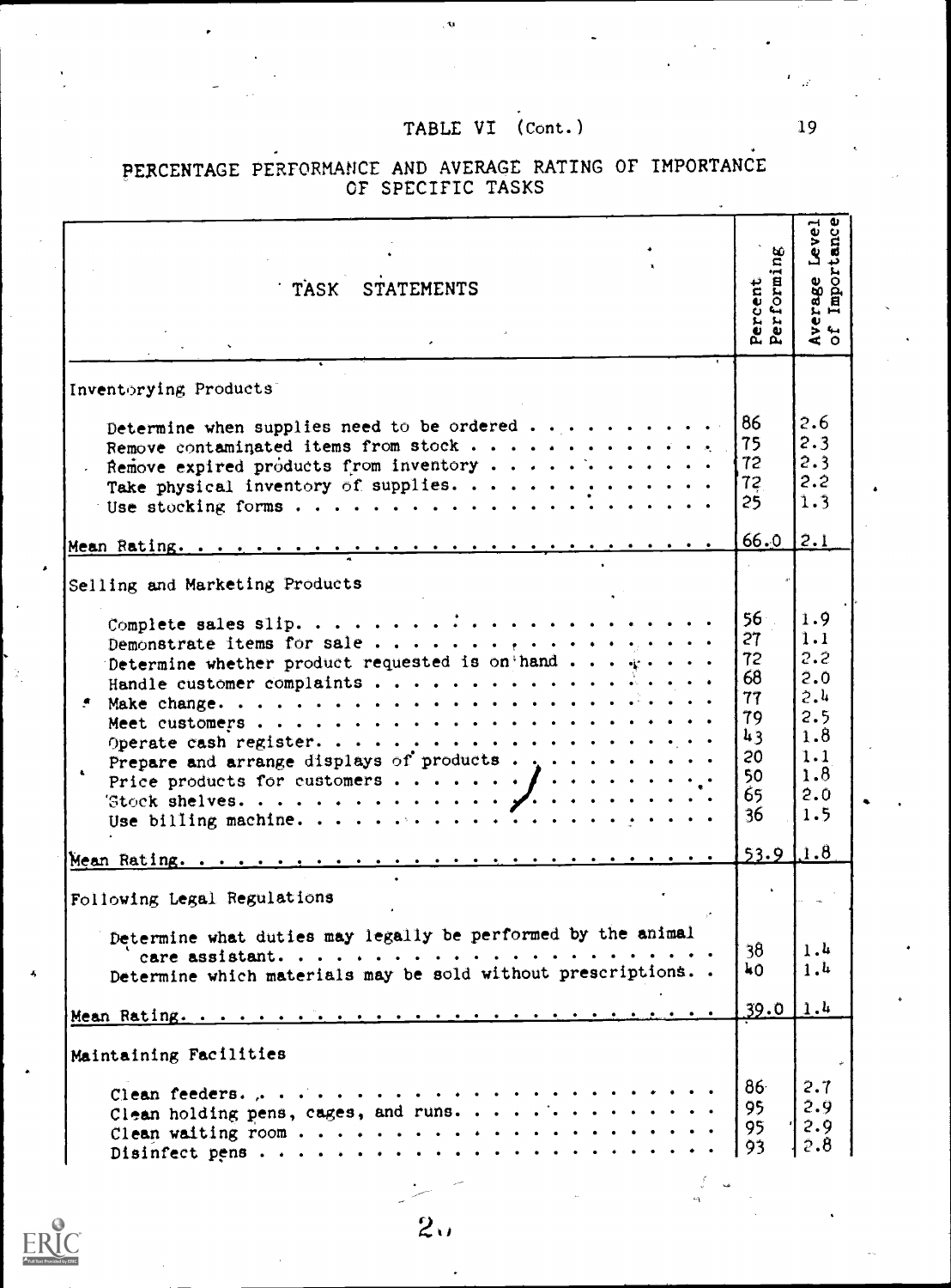| TASK STATEMENTS                                                                                                                                                                                                                    | Percent .<br>Performing                                                     | Average Level<br>of Importance                                            |
|------------------------------------------------------------------------------------------------------------------------------------------------------------------------------------------------------------------------------------|-----------------------------------------------------------------------------|---------------------------------------------------------------------------|
| Inventorying Products                                                                                                                                                                                                              |                                                                             |                                                                           |
| Determine when supplies need to be ordered<br>Remove contaminated items from stock<br>Remove expired products from inventory<br>Take physical inventory of supplies.                                                               | 86<br>75<br>72<br>72<br>25 <sub>1</sub>                                     | 2.6<br>2.3<br>2.3<br>2.2<br>1.3                                           |
|                                                                                                                                                                                                                                    | 66.0                                                                        | [2.1]                                                                     |
| Selling and Marketing Products                                                                                                                                                                                                     |                                                                             |                                                                           |
| Demonstrate items for sale<br>Determine whether product requested is on hand $\cdots$<br>Prepare and arrange displays of products . $\ldots$<br>Price products for customers $\int$<br>Stock shelves. $\sqrt{1 + \cdots + \cdots}$ | 56 <sup>1</sup><br>27<br>72<br>68<br>77<br>79<br>43<br>20<br>50<br>65<br>36 | 1.9<br>1.1<br>2.2<br>2.0<br>2.4<br>2.5<br>1.8<br>1.1<br>1.8<br>2.0<br>1.5 |
| Mean Rating.                                                                                                                                                                                                                       | $53.9$ $1.8$                                                                |                                                                           |
| Following Legal Regulations                                                                                                                                                                                                        |                                                                             |                                                                           |
| Determine what duties may legally be performed by the animal<br>Determine which materials may be sold without prescriptions                                                                                                        | 38<br>ΨO                                                                    | 1.4<br>1.4                                                                |
|                                                                                                                                                                                                                                    | $39.0 \, 1.4$                                                               |                                                                           |
| Maintaining Facilities<br>Clean holding pens, cages, and runs.                                                                                                                                                                     | 86 <sup>1</sup><br>95<br>95<br>93                                           | 2.7<br>2.9<br>2.9<br>2.8                                                  |

 $\frac{2}{2}$ 

# PERCENTAGE PERFORMANCE AND AVERAGE RATING OF IMPORTANCE OF SPECIFIC TASKS

 $19$